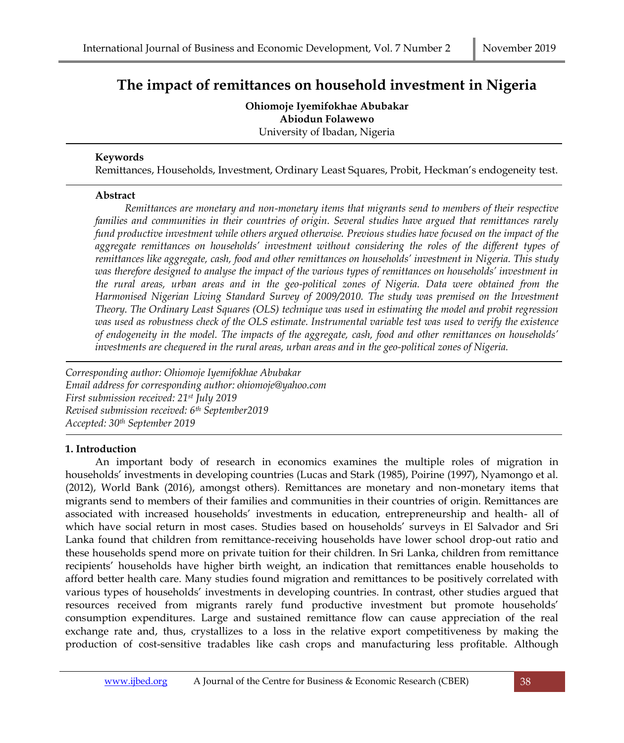# **The impact of remittances on household investment in Nigeria**

**Ohiomoje Iyemifokhae Abubakar Abiodun Folawewo** University of Ibadan, Nigeria

#### **Keywords**

Remittances, Households, Investment, Ordinary Least Squares, Probit, Heckman's endogeneity test.

#### **Abstract**

*Remittances are monetary and non-monetary items that migrants send to members of their respective families and communities in their countries of origin. Several studies have argued that remittances rarely fund productive investment while others argued otherwise. Previous studies have focused on the impact of the aggregate remittances on households' investment without considering the roles of the different types of remittances like aggregate, cash, food and other remittances on households' investment in Nigeria. This study was therefore designed to analyse the impact of the various types of remittances on households' investment in the rural areas, urban areas and in the geo-political zones of Nigeria. Data were obtained from the Harmonised Nigerian Living Standard Survey of 2009/2010. The study was premised on the Investment Theory. The Ordinary Least Squares (OLS) technique was used in estimating the model and probit regression was used as robustness check of the OLS estimate. Instrumental variable test was used to verify the existence of endogeneity in the model. The impacts of the aggregate, cash, food and other remittances on households' investments are chequered in the rural areas, urban areas and in the geo-political zones of Nigeria.*

*Corresponding author: Ohiomoje Iyemifokhae Abubakar Email address for corresponding author: ohiomoje@yahoo.com First submission received: 21st July 2019 Revised submission received: 6th September2019 Accepted: 30th September 2019*

## **1. Introduction**

An important body of research in economics examines the multiple roles of migration in households' investments in developing countries (Lucas and Stark (1985), Poirine (1997), Nyamongo et al. (2012), World Bank (2016), amongst others). Remittances are monetary and non-monetary items that migrants send to members of their families and communities in their countries of origin. Remittances are associated with increased households' investments in education, entrepreneurship and health- all of which have social return in most cases. Studies based on households' surveys in El Salvador and Sri Lanka found that children from remittance-receiving households have lower school drop-out ratio and these households spend more on private tuition for their children. In Sri Lanka, children from remittance recipients' households have higher birth weight, an indication that remittances enable households to afford better health care. Many studies found migration and remittances to be positively correlated with various types of households' investments in developing countries. In contrast, other studies argued that resources received from migrants rarely fund productive investment but promote households' consumption expenditures. Large and sustained remittance flow can cause appreciation of the real exchange rate and, thus, crystallizes to a loss in the relative export competitiveness by making the production of cost-sensitive tradables like cash crops and manufacturing less profitable. Although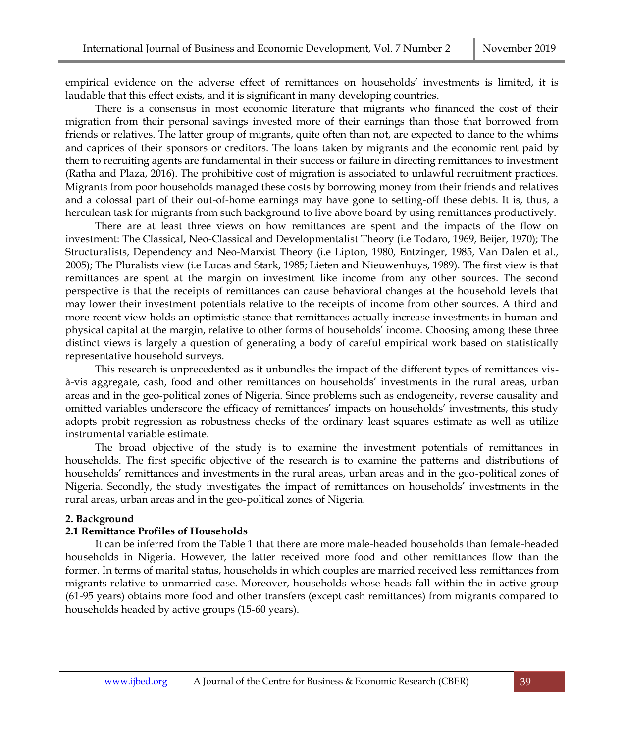empirical evidence on the adverse effect of remittances on households' investments is limited, it is laudable that this effect exists, and it is significant in many developing countries.

There is a consensus in most economic literature that migrants who financed the cost of their migration from their personal savings invested more of their earnings than those that borrowed from friends or relatives. The latter group of migrants, quite often than not, are expected to dance to the whims and caprices of their sponsors or creditors. The loans taken by migrants and the economic rent paid by them to recruiting agents are fundamental in their success or failure in directing remittances to investment (Ratha and Plaza, 2016). The prohibitive cost of migration is associated to unlawful recruitment practices. Migrants from poor households managed these costs by borrowing money from their friends and relatives and a colossal part of their out-of-home earnings may have gone to setting-off these debts. It is, thus, a herculean task for migrants from such background to live above board by using remittances productively.

There are at least three views on how remittances are spent and the impacts of the flow on investment: The Classical, Neo-Classical and Developmentalist Theory (i.e Todaro, 1969, Beijer, 1970); The Structuralists, Dependency and Neo-Marxist Theory (i.e Lipton, 1980, Entzinger, 1985, Van Dalen et al., 2005); The Pluralists view (i.e Lucas and Stark, 1985; Lieten and Nieuwenhuys, 1989). The first view is that remittances are spent at the margin on investment like income from any other sources. The second perspective is that the receipts of remittances can cause behavioral changes at the household levels that may lower their investment potentials relative to the receipts of income from other sources. A third and more recent view holds an optimistic stance that remittances actually increase investments in human and physical capital at the margin, relative to other forms of households' income. Choosing among these three distinct views is largely a question of generating a body of careful empirical work based on statistically representative household surveys.

This research is unprecedented as it unbundles the impact of the different types of remittances visà-vis aggregate, cash, food and other remittances on households' investments in the rural areas, urban areas and in the geo-political zones of Nigeria. Since problems such as endogeneity, reverse causality and omitted variables underscore the efficacy of remittances' impacts on households' investments, this study adopts probit regression as robustness checks of the ordinary least squares estimate as well as utilize instrumental variable estimate.

The broad objective of the study is to examine the investment potentials of remittances in households. The first specific objective of the research is to examine the patterns and distributions of households' remittances and investments in the rural areas, urban areas and in the geo-political zones of Nigeria. Secondly, the study investigates the impact of remittances on households' investments in the rural areas, urban areas and in the geo-political zones of Nigeria.

#### **2. Background**

#### **2.1 Remittance Profiles of Households**

It can be inferred from the Table 1 that there are more male-headed households than female-headed households in Nigeria. However, the latter received more food and other remittances flow than the former. In terms of marital status, households in which couples are married received less remittances from migrants relative to unmarried case. Moreover, households whose heads fall within the in-active group (61-95 years) obtains more food and other transfers (except cash remittances) from migrants compared to households headed by active groups (15-60 years).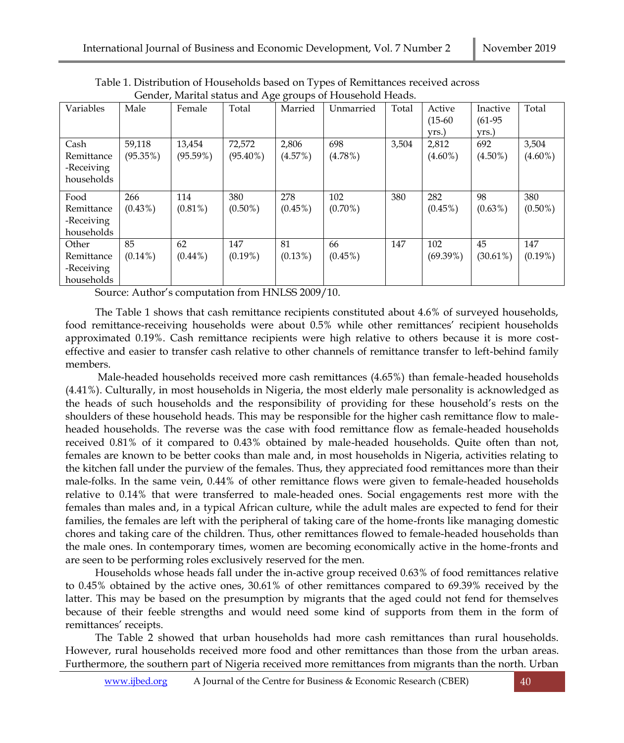|            |            |             |             |            | Schuer, marital status and rige groups of riouschoid ricads. |       |            |             |            |
|------------|------------|-------------|-------------|------------|--------------------------------------------------------------|-------|------------|-------------|------------|
| Variables  | Male       | Female      | Total       | Married    | Unmarried                                                    | Total | Active     | Inactive    | Total      |
|            |            |             |             |            |                                                              |       | $(15-60)$  | $(61-95)$   |            |
|            |            |             |             |            |                                                              |       | yrs.)      | yrs.)       |            |
| Cash       | 59,118     | 13,454      | 72,572      | 2,806      | 698                                                          | 3,504 | 2,812      | 692         | 3,504      |
| Remittance | (95.35%)   | $(95.59\%)$ | $(95.40\%)$ | (4.57%)    | $(4.78\%)$                                                   |       | $(4.60\%)$ | $(4.50\%)$  | $(4.60\%)$ |
| -Receiving |            |             |             |            |                                                              |       |            |             |            |
| households |            |             |             |            |                                                              |       |            |             |            |
|            |            |             |             |            |                                                              |       |            |             |            |
| Food       | 266        | 114         | 380         | 278        | 102                                                          | 380   | 282        | 98          | 380        |
| Remittance | $(0.43\%)$ | $(0.81\%)$  | $(0.50\%)$  | $(0.45\%)$ | $(0.70\%)$                                                   |       | $(0.45\%)$ | $(0.63\%)$  | $(0.50\%)$ |
| -Receiving |            |             |             |            |                                                              |       |            |             |            |
| households |            |             |             |            |                                                              |       |            |             |            |
| Other      | 85         | 62          | 147         | 81         | 66                                                           | 147   | 102        | 45          | 147        |
| Remittance | $(0.14\%)$ | $(0.44\%)$  | $(0.19\%)$  | $(0.13\%)$ | $(0.45\%)$                                                   |       | (69.39%)   | $(30.61\%)$ | $(0.19\%)$ |
| -Receiving |            |             |             |            |                                                              |       |            |             |            |
| households |            |             |             |            |                                                              |       |            |             |            |

Table 1. Distribution of Households based on Types of Remittances received across Gender, Marital status and Age groups of Household Heads.

Source: Author's computation from HNLSS 2009/10.

The Table 1 shows that cash remittance recipients constituted about 4.6% of surveyed households, food remittance-receiving households were about 0.5% while other remittances' recipient households approximated 0.19%. Cash remittance recipients were high relative to others because it is more costeffective and easier to transfer cash relative to other channels of remittance transfer to left-behind family members.

Male-headed households received more cash remittances (4.65%) than female-headed households (4.41%). Culturally, in most households in Nigeria, the most elderly male personality is acknowledged as the heads of such households and the responsibility of providing for these household's rests on the shoulders of these household heads. This may be responsible for the higher cash remittance flow to maleheaded households. The reverse was the case with food remittance flow as female-headed households received 0.81% of it compared to 0.43% obtained by male-headed households. Quite often than not, females are known to be better cooks than male and, in most households in Nigeria, activities relating to the kitchen fall under the purview of the females. Thus, they appreciated food remittances more than their male-folks. In the same vein, 0.44% of other remittance flows were given to female-headed households relative to 0.14% that were transferred to male-headed ones. Social engagements rest more with the females than males and, in a typical African culture, while the adult males are expected to fend for their families, the females are left with the peripheral of taking care of the home-fronts like managing domestic chores and taking care of the children. Thus, other remittances flowed to female-headed households than the male ones. In contemporary times, women are becoming economically active in the home-fronts and are seen to be performing roles exclusively reserved for the men.

Households whose heads fall under the in-active group received 0.63% of food remittances relative to 0.45% obtained by the active ones, 30.61% of other remittances compared to 69.39% received by the latter. This may be based on the presumption by migrants that the aged could not fend for themselves because of their feeble strengths and would need some kind of supports from them in the form of remittances' receipts.

The Table 2 showed that urban households had more cash remittances than rural households. However, rural households received more food and other remittances than those from the urban areas. Furthermore, the southern part of Nigeria received more remittances from migrants than the north. Urban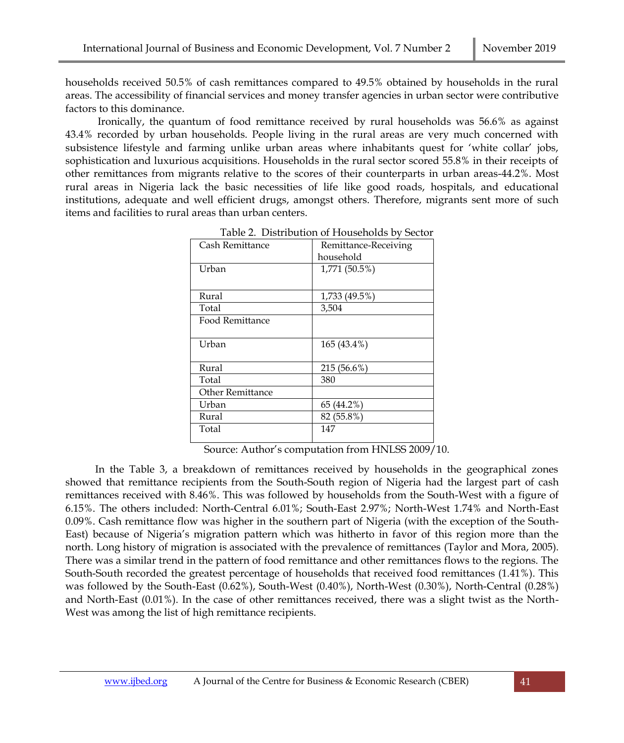households received 50.5% of cash remittances compared to 49.5% obtained by households in the rural areas. The accessibility of financial services and money transfer agencies in urban sector were contributive factors to this dominance.

Ironically, the quantum of food remittance received by rural households was 56.6% as against 43.4% recorded by urban households. People living in the rural areas are very much concerned with subsistence lifestyle and farming unlike urban areas where inhabitants quest for 'white collar' jobs, sophistication and luxurious acquisitions. Households in the rural sector scored 55.8% in their receipts of other remittances from migrants relative to the scores of their counterparts in urban areas-44.2%. Most rural areas in Nigeria lack the basic necessities of life like good roads, hospitals, and educational institutions, adequate and well efficient drugs, amongst others. Therefore, migrants sent more of such items and facilities to rural areas than urban centers.

| Cash Remittance         | Remittance-Receiving |
|-------------------------|----------------------|
|                         | household            |
| Urban                   | 1,771 (50.5%)        |
|                         |                      |
| Rural                   | 1,733 (49.5%)        |
| Total                   | 3,504                |
| Food Remittance         |                      |
|                         |                      |
| Urban                   | 165 (43.4%)          |
|                         |                      |
| Rural                   | 215 (56.6%)          |
| Total                   | 380                  |
| <b>Other Remittance</b> |                      |
| Urban                   | 65 (44.2%)           |
| Rural                   | 82 (55.8%)           |
| Total                   | 147                  |
|                         |                      |

| Table 2. Distribution of Households by Sector |  |
|-----------------------------------------------|--|
|-----------------------------------------------|--|

Source: Author's computation from HNLSS 2009/10.

In the Table 3, a breakdown of remittances received by households in the geographical zones showed that remittance recipients from the South-South region of Nigeria had the largest part of cash remittances received with 8.46%. This was followed by households from the South-West with a figure of 6.15%. The others included: North-Central 6.01%; South-East 2.97%; North-West 1.74% and North-East 0.09%. Cash remittance flow was higher in the southern part of Nigeria (with the exception of the South-East) because of Nigeria's migration pattern which was hitherto in favor of this region more than the north. Long history of migration is associated with the prevalence of remittances (Taylor and Mora, 2005). There was a similar trend in the pattern of food remittance and other remittances flows to the regions. The South-South recorded the greatest percentage of households that received food remittances (1.41%). This was followed by the South-East (0.62%), South-West (0.40%), North-West (0.30%), North-Central (0.28%) and North-East (0.01%). In the case of other remittances received, there was a slight twist as the North-West was among the list of high remittance recipients.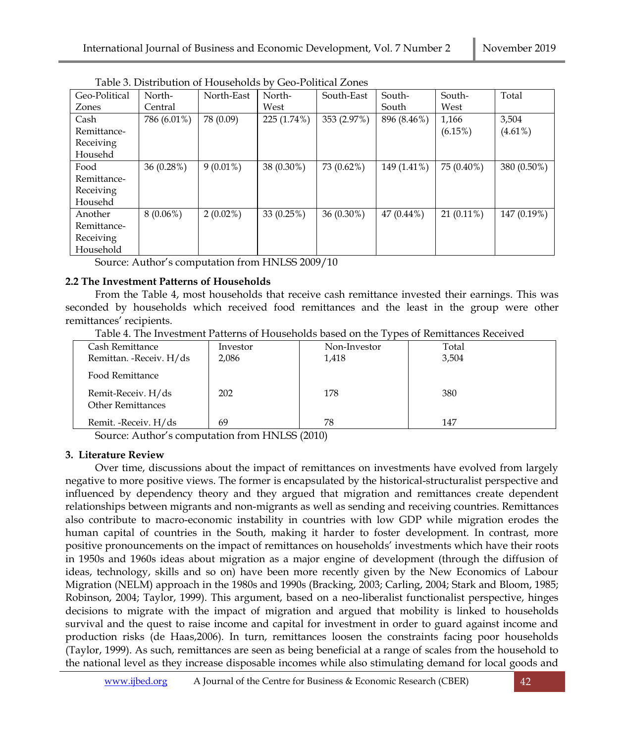| Geo-Political | North-      | North-East  | North-      | South-East   | South-       | South-       | Total       |
|---------------|-------------|-------------|-------------|--------------|--------------|--------------|-------------|
| Zones         | Central     |             | West        |              | South        | West         |             |
| Cash          | 786 (6.01%) | 78 (0.09)   | 225 (1.74%) | 353 (2.97%)  | 896 (8.46%)  | 1,166        | 3,504       |
| Remittance-   |             |             |             |              |              | $(6.15\%)$   | $(4.61\%)$  |
| Receiving     |             |             |             |              |              |              |             |
| Househd       |             |             |             |              |              |              |             |
| Food          | 36(0.28%)   | $9(0.01\%)$ | 38 (0.30%)  | 73 (0.62%)   | 149 (1.41%)  | 75 (0.40%)   | 380 (0.50%) |
| Remittance-   |             |             |             |              |              |              |             |
| Receiving     |             |             |             |              |              |              |             |
| Househd       |             |             |             |              |              |              |             |
| Another       | $8(0.06\%)$ | $2(0.02\%)$ | 33(0.25%)   | $36(0.30\%)$ | $47(0.44\%)$ | $21(0.11\%)$ | 147 (0.19%) |
| Remittance-   |             |             |             |              |              |              |             |
| Receiving     |             |             |             |              |              |              |             |
| Household     |             |             |             |              |              |              |             |

Table 3. Distribution of Households by Geo-Political Zones

Source: Author's computation from HNLSS 2009/10

## **2.2 The Investment Patterns of Households**

From the Table 4, most households that receive cash remittance invested their earnings. This was seconded by households which received food remittances and the least in the group were other remittances' recipients.

Table 4. The Investment Patterns of Households based on the Types of Remittances Received

|                                                |          | <u>J 1</u>   |       |  |
|------------------------------------------------|----------|--------------|-------|--|
| Cash Remittance                                | Investor | Non-Investor | Total |  |
| Remittan. - Receiv. H/ds                       | 2,086    | 1,418        | 3,504 |  |
| Food Remittance                                |          |              |       |  |
| Remit-Receiv. H/ds<br><b>Other Remittances</b> | 202      | 178          | 380   |  |
|                                                |          |              |       |  |
| Remit. - Receiv. H/ds                          | 69       | 78           | 147   |  |

Source: Author's computation from HNLSS (2010)

# **3. Literature Review**

Over time, discussions about the impact of remittances on investments have evolved from largely negative to more positive views. The former is encapsulated by the historical-structuralist perspective and influenced by dependency theory and they argued that migration and remittances create dependent relationships between migrants and non-migrants as well as sending and receiving countries. Remittances also contribute to macro-economic instability in countries with low GDP while migration erodes the human capital of countries in the South, making it harder to foster development. In contrast, more positive pronouncements on the impact of remittances on households' investments which have their roots in 1950s and 1960s ideas about migration as a major engine of development (through the diffusion of ideas, technology, skills and so on) have been more recently given by the New Economics of Labour Migration (NELM) approach in the 1980s and 1990s (Bracking, 2003; Carling, 2004; Stark and Bloom, 1985; Robinson, 2004; Taylor, 1999). This argument, based on a neo-liberalist functionalist perspective, hinges decisions to migrate with the impact of migration and argued that mobility is linked to households survival and the quest to raise income and capital for investment in order to guard against income and production risks (de Haas,2006). In turn, remittances loosen the constraints facing poor households (Taylor, 1999). As such, remittances are seen as being beneficial at a range of scales from the household to the national level as they increase disposable incomes while also stimulating demand for local goods and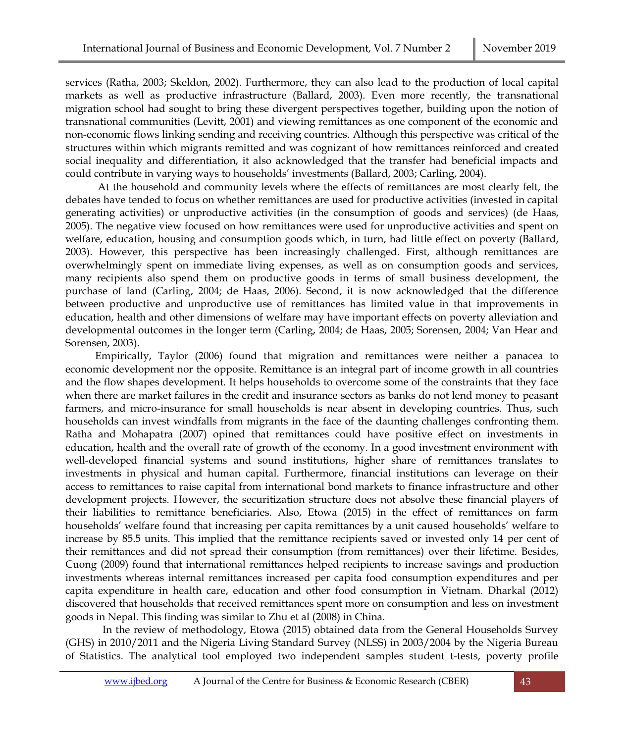services (Ratha, 2003; Skeldon, 2002). Furthermore, they can also lead to the production of local capital markets as well as productive infrastructure (Ballard, 2003). Even more recently, the transnational migration school had sought to bring these divergent perspectives together, building upon the notion of transnational communities (Levitt, 2001) and viewing remittances as one component of the economic and non-economic flows linking sending and receiving countries. Although this perspective was critical of the structures within which migrants remitted and was cognizant of how remittances reinforced and created social inequality and differentiation, it also acknowledged that the transfer had beneficial impacts and could contribute in varying ways to households' investments (Ballard, 2003; Carling, 2004).

At the household and community levels where the effects of remittances are most clearly felt, the debates have tended to focus on whether remittances are used for productive activities (invested in capital generating activities) or unproductive activities (in the consumption of goods and services) (de Haas, 2005). The negative view focused on how remittances were used for unproductive activities and spent on welfare, education, housing and consumption goods which, in turn, had little effect on poverty (Ballard, 2003). However, this perspective has been increasingly challenged. First, although remittances are overwhelmingly spent on immediate living expenses, as well as on consumption goods and services, many recipients also spend them on productive goods in terms of small business development, the purchase of land (Carling, 2004; de Haas, 2006). Second, it is now acknowledged that the difference between productive and unproductive use of remittances has limited value in that improvements in education, health and other dimensions of welfare may have important effects on poverty alleviation and developmental outcomes in the longer term (Carling, 2004; de Haas, 2005; Sorensen, 2004; Van Hear and Sorensen, 2003).

Empirically, Taylor (2006) found that migration and remittances were neither a panacea to economic development nor the opposite. Remittance is an integral part of income growth in all countries and the flow shapes development. It helps households to overcome some of the constraints that they face when there are market failures in the credit and insurance sectors as banks do not lend money to peasant farmers, and micro-insurance for small households is near absent in developing countries. Thus, such households can invest windfalls from migrants in the face of the daunting challenges confronting them. Ratha and Mohapatra (2007) opined that remittances could have positive effect on investments in education, health and the overall rate of growth of the economy. In a good investment environment with well-developed financial systems and sound institutions, higher share of remittances translates to investments in physical and human capital. Furthermore, financial institutions can leverage on their access to remittances to raise capital from international bond markets to finance infrastructure and other development projects. However, the securitization structure does not absolve these financial players of their liabilities to remittance beneficiaries. Also, Etowa (2015) in the effect of remittances on farm households' welfare found that increasing per capita remittances by a unit caused households' welfare to increase by 85.5 units. This implied that the remittance recipients saved or invested only 14 per cent of their remittances and did not spread their consumption (from remittances) over their lifetime. Besides, Cuong (2009) found that international remittances helped recipients to increase savings and production investments whereas internal remittances increased per capita food consumption expenditures and per capita expenditure in health care, education and other food consumption in Vietnam. Dharkal (2012) discovered that households that received remittances spent more on consumption and less on investment goods in Nepal. This finding was similar to Zhu et al (2008) in China.

In the review of methodology, Etowa (2015) obtained data from the General Households Survey (GHS) in 2010/2011 and the Nigeria Living Standard Survey (NLSS) in 2003/2004 by the Nigeria Bureau of Statistics. The analytical tool employed two independent samples student t-tests, poverty profile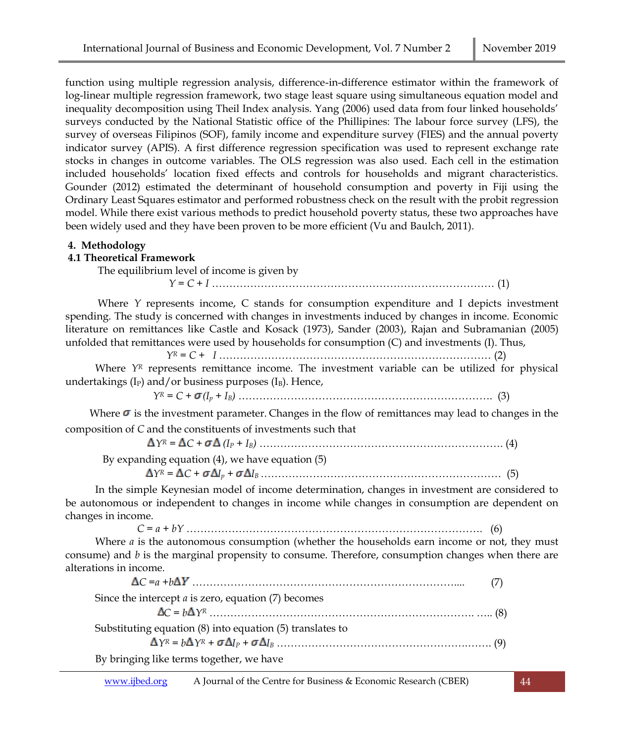function using multiple regression analysis, difference-in-difference estimator within the framework of log-linear multiple regression framework, two stage least square using simultaneous equation model and inequality decomposition using Theil Index analysis. Yang (2006) used data from four linked households' surveys conducted by the National Statistic office of the Phillipines: The labour force survey (LFS), the survey of overseas Filipinos (SOF), family income and expenditure survey (FIES) and the annual poverty indicator survey (APIS). A first difference regression specification was used to represent exchange rate stocks in changes in outcome variables. The OLS regression was also used. Each cell in the estimation included households' location fixed effects and controls for households and migrant characteristics. Gounder (2012) estimated the determinant of household consumption and poverty in Fiji using the Ordinary Least Squares estimator and performed robustness check on the result with the probit regression model. While there exist various methods to predict household poverty status, these two approaches have been widely used and they have been proven to be more efficient (Vu and Baulch, 2011).

#### **4. Methodology**

## **4.1 Theoretical Framework**

The equilibrium level of income is given by

*Y = C + I* ……………………………………………………………………… (1)

Where *Y* represents income, C stands for consumption expenditure and I depicts investment spending. The study is concerned with changes in investments induced by changes in income. Economic literature on remittances like Castle and Kosack (1973), Sander (2003), Rajan and Subramanian (2005) unfolded that remittances were used by households for consumption (C) and investments (I). Thus,

*Y<sup>R</sup> = C + I* …………………………………………………………………… (2)

Where *Y<sup>R</sup>* represents remittance income. The investment variable can be utilized for physical undertakings ( $I<sub>P</sub>$ ) and/or business purposes ( $I<sub>B</sub>$ ). Hence,

*Y<sup>R</sup> = C + (I<sup>p</sup> + IB)* ………………………………………………………………. (3)

Where  $\sigma$  is the investment parameter. Changes in the flow of remittances may lead to changes in the composition of *C* and the constituents of investments such that

*Y<sup>R</sup> = C + (I<sup>P</sup> + IB)* ……………………………………………………………. (4)

By expanding equation (4), we have equation (5)

*Y<sup>R</sup> = C + I<sup>p</sup> + I<sup>B</sup>* …………………………………………………………… (5)

In the simple Keynesian model of income determination, changes in investment are considered to be autonomous or independent to changes in income while changes in consumption are dependent on changes in income.

*C = a + bY* …………………………………………………………………………. (6)

Where *a* is the autonomous consumption (whether the households earn income or not, they must consume) and *b* is the marginal propensity to consume. Therefore, consumption changes when there are alterations in income.

| $\Delta C = a + b\Delta Y$ (7)                            |  |
|-----------------------------------------------------------|--|
| Since the intercept $a$ is zero, equation $(7)$ becomes   |  |
|                                                           |  |
| Substituting equation (8) into equation (5) translates to |  |
|                                                           |  |
| By bringing like terms together, we have                  |  |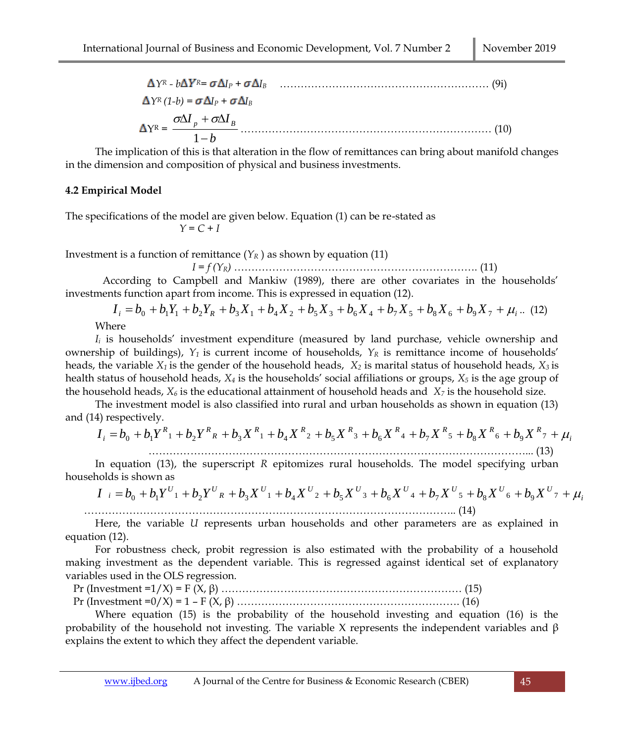$$
\Delta Y^R - b\Delta Y^R = \sigma \Delta I_P + \sigma \Delta I_B
$$
\n
$$
\Delta Y^R (1-b) = \sigma \Delta I_P + \sigma \Delta I_B
$$
\n
$$
\Delta Y^R = \frac{\sigma \Delta I_p + \sigma \Delta I_B}{1-b}
$$
\n(10)

The implication of this is that alteration in the flow of remittances can bring about manifold changes in the dimension and composition of physical and business investments.

#### **4.2 Empirical Model**

The specifications of the model are given below. Equation (1) can be re-stated as  $Y = C + I$ 

Investment is a function of remittance  $(Y_R)$  as shown by equation (11)

*I = f (YR)* ……………………………………………………………. (11)

According to Campbell and Mankiw (1989), there are other covariates in the households' investments function apart from income. This is expressed in equation (12).

 $I_i = b_0 + b_1 Y_1 + b_2 Y_R + b_3 X_1 + b_4 X_2 + b_5 X_3 + b_6 X_4 + b_7 X_5 + b_8 X_6 + b_9 X_7 + \mu_i$ ... (12)

Where

*I<sup>i</sup>* is households' investment expenditure (measured by land purchase, vehicle ownership and ownership of buildings),  $Y_1$  is current income of households,  $Y_R$  is remittance income of households' heads, the variable *X<sup>1</sup>* is the gender of the household heads, *X<sup>2</sup>* is marital status of household heads, *X<sup>3</sup>* is health status of household heads, *X<sup>4</sup>* is the households' social affiliations or groups, *X<sup>5</sup>* is the age group of the household heads,  $X_6$  is the educational attainment of household heads and  $X_7$  is the household size.

The investment model is also classified into rural and urban households as shown in equation (13) and (14) respectively.

$$
I_i = b_0 + b_1 Y_{1} + b_2 Y_{1} + b_3 X_{1} + b_4 X_{2} + b_5 X_{1} + b_6 X_{1} + b_7 X_{1} + b_8 X_{1} + b_9 X_{1} + b_9 X_{1} + b_9 X_{1} + b_9 X_{1} + b_9 X_{1} + b_9 X_{1} + b_9 X_{1} + b_9 X_{1} + b_9 X_{1} + b_9 X_{1} + b_9 X_{1} + b_9 X_{1} + b_9 X_{1} + b_9 X_{1} + b_9 X_{1} + b_9 X_{1} + b_9 X_{1} + b_9 X_{1} + b_9 X_{1} + b_9 X_{1} + b_9 X_{1} + b_9 X_{1} + b_9 X_{1} + b_9 X_{1} + b_9 X_{1} + b_9 X_{1} + b_9 X_{1} + b_9 X_{1} + b_9 X_{1} + b_9 X_{1} + b_9 X_{1} + b_9 X_{1} + b_9 X_{1} + b_9 X_{1} + b_9 X_{1} + b_9 X_{1} + b_9 X_{1} + b_9 X_{1} + b_9 X_{1} + b_9 X_{1} + b_9 X_{1} + b_9 X_{1} + b_9 X_{1} + b_9 X_{1} + b_9 X_{1} + b_9 X_{1} + b_9 X_{1} + b_9 X_{1} + b_9 X_{1} + b_9 X_{1} + b_9 X_{1} + b_9 X_{1} + b_9 X_{1} + b_9 X_{1} + b_9 X_{1} + b_9 X_{1} + b_9 X_{1} + b_9 X_{1} + b_9 X_{1} + b_9 X_{1} + b_9 X_{1} + b_9 X_{1} + b_9 X_{1} + b_9 X_{1} + b_9 X_{1} + b_9 X_{1} + b_9 X_{1} + b_9 X_{1} + b_9 X_{1} + b_9 X_{1} + b_9 X_{1} + b_9 X_{1} + b_9 X_{1} + b_9 X_{1} + b_9 X_{1} + b_9 X_{1} + b_9 X_{1} + b_9 X_{1} + b_9 X_{1} + b_9 X_{1} + b_9 X_{1} + b_9 X_{1} + b_9 X_{1} + b_9 X_{1} + b_9 X_{1} + b_9 X_{1} +
$$

In equation (13), the superscript *R* epitomizes rural households. The model specifying urban households is shown as

$$
I_i = b_0 + b_1 Y^{U_1} + b_2 Y^{U_R} + b_3 X^{U_1} + b_4 X^{U_2} + b_5 X^{U_3} + b_6 X^{U_4} + b_7 X^{U_5} + b_8 X^{U_6} + b_9 X^{U_7} + \mu_1
$$
 (14)

Here, the variable *U* represents urban households and other parameters are as explained in equation (12).

For robustness check, probit regression is also estimated with the probability of a household making investment as the dependent variable. This is regressed against identical set of explanatory variables used in the OLS regression.

 Pr (Investment =1/X) = F (X, β) …………………………………………………………… (15) Pr (Investment =0/X) = 1 – F (X, β) ………………………………………………………. (16)

Where equation (15) is the probability of the household investing and equation (16) is the probability of the household not investing. The variable X represents the independent variables and β explains the extent to which they affect the dependent variable.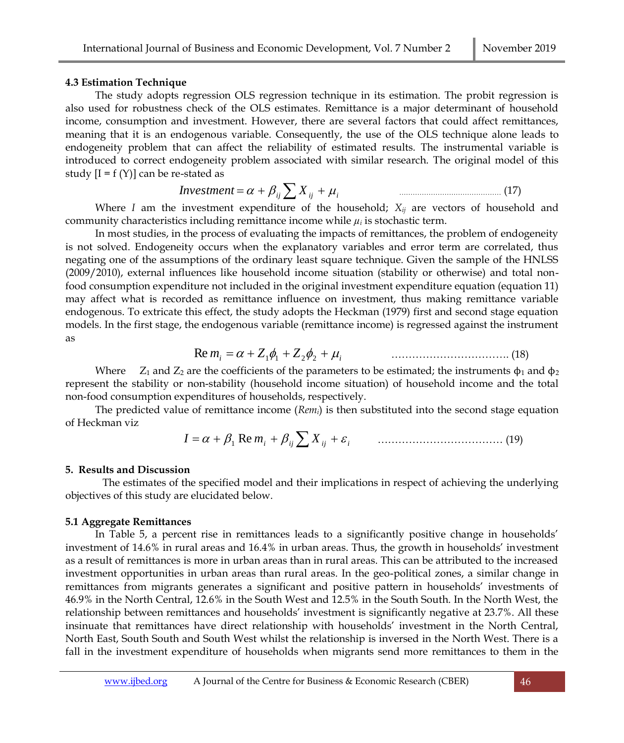#### **4.3 Estimation Technique**

The study adopts regression OLS regression technique in its estimation. The probit regression is also used for robustness check of the OLS estimates. Remittance is a major determinant of household income, consumption and investment. However, there are several factors that could affect remittances, meaning that it is an endogenous variable. Consequently, the use of the OLS technique alone leads to endogeneity problem that can affect the reliability of estimated results. The instrumental variable is introduced to correct endogeneity problem associated with similar research. The original model of this study  $[I = f(Y)]$  can be re-stated as

$$
Investment = \alpha + \beta_{ij} \sum X_{ij} + \mu_i
$$
\n(17)

Where *I* am the investment expenditure of the household; *Xij* are vectors of household and community characteristics including remittance income while  $\mu_i$  is stochastic term.

In most studies, in the process of evaluating the impacts of remittances, the problem of endogeneity is not solved. Endogeneity occurs when the explanatory variables and error term are correlated, thus negating one of the assumptions of the ordinary least square technique. Given the sample of the HNLSS (2009/2010), external influences like household income situation (stability or otherwise) and total nonfood consumption expenditure not included in the original investment expenditure equation (equation 11) may affect what is recorded as remittance influence on investment, thus making remittance variable endogenous. To extricate this effect, the study adopts the Heckman (1979) first and second stage equation models. In the first stage, the endogenous variable (remittance income) is regressed against the instrument as

$$
\text{Re } m_i = \alpha + Z_1 \phi_1 + Z_2 \phi_2 + \mu_i \tag{18}
$$

Where  $Z_1$  and  $Z_2$  are the coefficients of the parameters to be estimated; the instruments  $\phi_1$  and  $\phi_2$ represent the stability or non-stability (household income situation) of household income and the total non-food consumption expenditures of households, respectively.

The predicted value of remittance income (*Remi*) is then substituted into the second stage equation of Heckman viz

$$
I = \alpha + \beta_1 \operatorname{Re} m_i + \beta_{ij} \sum X_{ij} + \varepsilon_i \qquad \qquad \dots \dots \dots \dots \dots \dots \dots \dots \dots \dots \dots \tag{19}
$$

#### **5. Results and Discussion**

The estimates of the specified model and their implications in respect of achieving the underlying objectives of this study are elucidated below.

## **5.1 Aggregate Remittances**

In Table 5, a percent rise in remittances leads to a significantly positive change in households' investment of 14.6% in rural areas and 16.4% in urban areas. Thus, the growth in households' investment as a result of remittances is more in urban areas than in rural areas. This can be attributed to the increased investment opportunities in urban areas than rural areas. In the geo-political zones, a similar change in remittances from migrants generates a significant and positive pattern in households' investments of 46.9% in the North Central, 12.6% in the South West and 12.5% in the South South. In the North West, the relationship between remittances and households' investment is significantly negative at 23.7%. All these insinuate that remittances have direct relationship with households' investment in the North Central, North East, South South and South West whilst the relationship is inversed in the North West. There is a fall in the investment expenditure of households when migrants send more remittances to them in the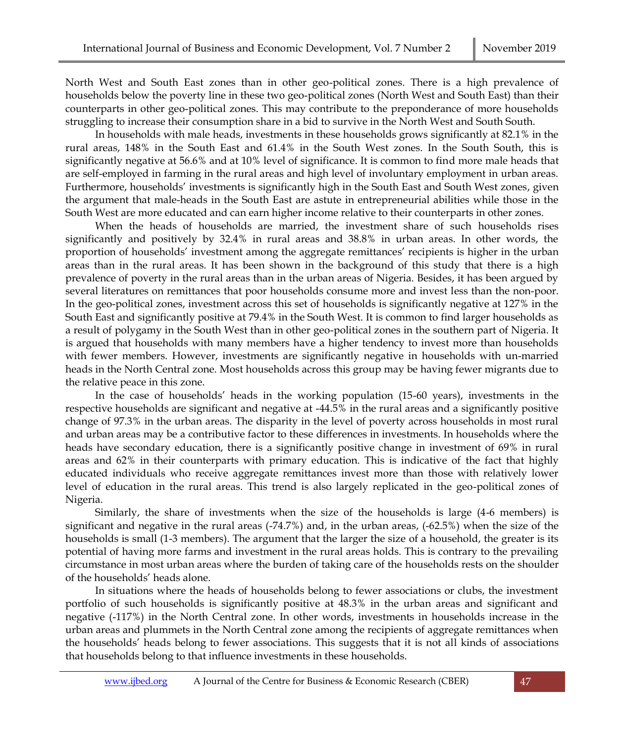North West and South East zones than in other geo-political zones. There is a high prevalence of households below the poverty line in these two geo-political zones (North West and South East) than their counterparts in other geo-political zones. This may contribute to the preponderance of more households struggling to increase their consumption share in a bid to survive in the North West and South South.

In households with male heads, investments in these households grows significantly at 82.1% in the rural areas, 148% in the South East and 61.4% in the South West zones. In the South South, this is significantly negative at 56.6% and at 10% level of significance. It is common to find more male heads that are self-employed in farming in the rural areas and high level of involuntary employment in urban areas. Furthermore, households' investments is significantly high in the South East and South West zones, given the argument that male-heads in the South East are astute in entrepreneurial abilities while those in the South West are more educated and can earn higher income relative to their counterparts in other zones.

When the heads of households are married, the investment share of such households rises significantly and positively by 32.4% in rural areas and 38.8% in urban areas. In other words, the proportion of households' investment among the aggregate remittances' recipients is higher in the urban areas than in the rural areas. It has been shown in the background of this study that there is a high prevalence of poverty in the rural areas than in the urban areas of Nigeria. Besides, it has been argued by several literatures on remittances that poor households consume more and invest less than the non-poor. In the geo-political zones, investment across this set of households is significantly negative at 127% in the South East and significantly positive at 79.4% in the South West. It is common to find larger households as a result of polygamy in the South West than in other geo-political zones in the southern part of Nigeria. It is argued that households with many members have a higher tendency to invest more than households with fewer members. However, investments are significantly negative in households with un-married heads in the North Central zone. Most households across this group may be having fewer migrants due to the relative peace in this zone.

In the case of households' heads in the working population (15-60 years), investments in the respective households are significant and negative at -44.5% in the rural areas and a significantly positive change of 97.3% in the urban areas. The disparity in the level of poverty across households in most rural and urban areas may be a contributive factor to these differences in investments. In households where the heads have secondary education, there is a significantly positive change in investment of 69% in rural areas and 62% in their counterparts with primary education. This is indicative of the fact that highly educated individuals who receive aggregate remittances invest more than those with relatively lower level of education in the rural areas. This trend is also largely replicated in the geo-political zones of Nigeria.

Similarly, the share of investments when the size of the households is large (4-6 members) is significant and negative in the rural areas (-74.7%) and, in the urban areas, (-62.5%) when the size of the households is small (1-3 members). The argument that the larger the size of a household, the greater is its potential of having more farms and investment in the rural areas holds. This is contrary to the prevailing circumstance in most urban areas where the burden of taking care of the households rests on the shoulder of the households' heads alone.

In situations where the heads of households belong to fewer associations or clubs, the investment portfolio of such households is significantly positive at 48.3% in the urban areas and significant and negative (-117%) in the North Central zone. In other words, investments in households increase in the urban areas and plummets in the North Central zone among the recipients of aggregate remittances when the households' heads belong to fewer associations. This suggests that it is not all kinds of associations that households belong to that influence investments in these households.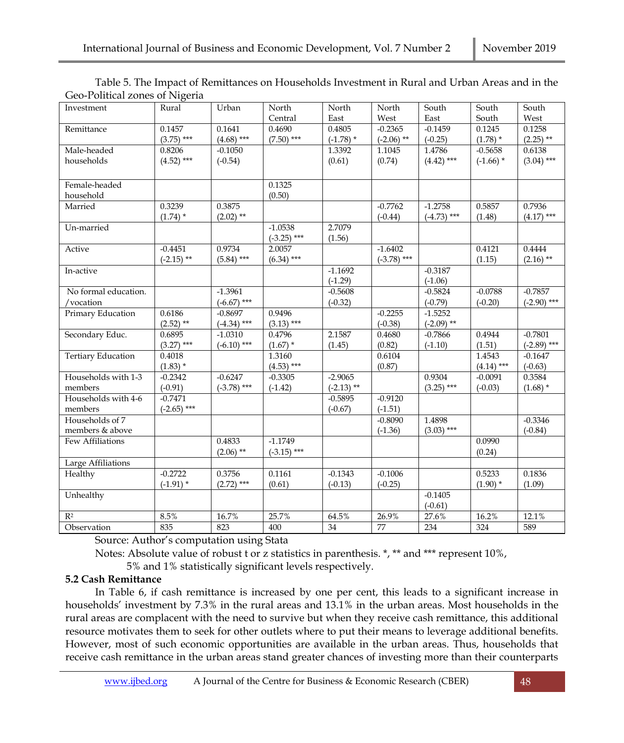| Investment                | Rural         | Urban         | North         | North        | North         | South         | South        | South         |
|---------------------------|---------------|---------------|---------------|--------------|---------------|---------------|--------------|---------------|
|                           |               |               | Central       | East         | West          | East          | South        | West          |
| Remittance                | 0.1457        | 0.1641        | 0.4690        | 0.4805       | $-0.2365$     | $-0.1459$     | 0.1245       | 0.1258        |
|                           | $(3.75)$ ***  | $(4.68)$ ***  | $(7.50)$ ***  | $(-1.78)$ *  | $(-2.06)$ **  | $(-0.25)$     | $(1.78)$ *   | $(2.25)$ **   |
| Male-headed               | 0.8206        | $-0.1050$     |               | 1.3392       | 1.1045        | 1.4786        | $-0.5658$    | 0.6138        |
| households                | $(4.52)$ ***  | $(-0.54)$     |               | (0.61)       | (0.74)        | $(4.42)$ ***  | $(-1.66)$ *  | $(3.04)$ ***  |
|                           |               |               |               |              |               |               |              |               |
| Female-headed             |               |               | 0.1325        |              |               |               |              |               |
| household                 |               |               | (0.50)        |              |               |               |              |               |
| Married                   | 0.3239        | 0.3875        |               |              | $-0.7762$     | $-1.2758$     | 0.5857       | 0.7936        |
|                           | $(1.74)$ *    | $(2.02)$ **   |               |              | $(-0.44)$     | $(-4.73)$ *** | (1.48)       | $(4.17)$ ***  |
| Un-married                |               |               | $-1.0538$     | 2.7079       |               |               |              |               |
|                           |               |               | $(-3.25)$ *** | (1.56)       |               |               |              |               |
| Active                    | $-0.4451$     | 0.9734        | 2.0057        |              | $-1.6402$     |               | 0.4121       | 0.4444        |
|                           | $(-2.15)$ **  | $(5.84)$ ***  | $(6.34)$ ***  |              | $(-3.78)$ *** |               | (1.15)       | $(2.16)$ **   |
| In-active                 |               |               |               | $-1.1692$    |               | $-0.3187$     |              |               |
|                           |               |               |               | $(-1.29)$    |               | $(-1.06)$     |              |               |
| No formal education.      |               | $-1.3961$     |               | $-0.5608$    |               | $-0.5824$     | $-0.0788$    | $-0.7857$     |
| /vocation                 |               | $(-6.67)$ *** |               | $(-0.32)$    |               | $(-0.79)$     | $(-0.20)$    | $(-2.90)$ *** |
| Primary Education         | 0.6186        | $-0.8697$     | 0.9496        |              | $-0.2255$     | $-1.5252$     |              |               |
|                           | $(2.52)$ **   | $(-4.34)$ *** | $(3.13)$ ***  |              | $(-0.38)$     | $(-2.09)$ **  |              |               |
| Secondary Educ.           | 0.6895        | $-1.0310$     | 0.4796        | 2.1587       | 0.4680        | $-0.7866$     | 0.4944       | $-0.7801$     |
|                           | $(3.27)$ ***  | $(-6.10)$ *** | $(1.67)$ *    | (1.45)       | (0.82)        | $(-1.10)$     | (1.51)       | $(-2.89)$ *** |
| <b>Tertiary Education</b> | 0.4018        |               | 1.3160        |              | 0.6104        |               | 1.4543       | $-0.1647$     |
|                           | $(1.83)$ *    |               | $(4.53)$ ***  |              | (0.87)        |               | $(4.14)$ *** | $(-0.63)$     |
| Households with 1-3       | $-0.2342$     | $-0.6247$     | $-0.3305$     | $-2.9065$    |               | 0.9304        | $-0.0091$    | 0.3584        |
| members                   | $(-0.91)$     | $(-3.78)$ *** | $(-1.42)$     | $(-2.13)$ ** |               | $(3.25)$ ***  | $(-0.03)$    | $(1.68)$ *    |
| Households with 4-6       | $-0.7471$     |               |               | $-0.5895$    | $-0.9120$     |               |              |               |
| members                   | $(-2.65)$ *** |               |               | $(-0.67)$    | $(-1.51)$     |               |              |               |
| Households of 7           |               |               |               |              | $-0.8090$     | 1.4898        |              | $-0.3346$     |
| members & above           |               |               |               |              | $(-1.36)$     | $(3.03)$ ***  |              | $(-0.84)$     |
| Few Affiliations          |               | 0.4833        | $-1.1749$     |              |               |               | 0.0990       |               |
|                           |               | $(2.06)$ **   | $(-3.15)$ *** |              |               |               | (0.24)       |               |
| Large Affiliations        |               |               |               |              |               |               |              |               |
| Healthy                   | $-0.2722$     | 0.3756        | 0.1161        | $-0.1343$    | $-0.1006$     |               | 0.5233       | 0.1836        |
|                           | $(-1.91)$ *   | $(2.72)$ ***  | (0.61)        | $(-0.13)$    | $(-0.25)$     |               | $(1.90)$ *   | (1.09)        |
| Unhealthy                 |               |               |               |              |               | $-0.1405$     |              |               |
|                           |               |               |               |              |               | $(-0.61)$     |              |               |
| $\mathbb{R}^2$            | 8.5%          | 16.7%         | 25.7%         | 64.5%        | 26.9%         | 27.6%         | 16.2%        | 12.1%         |
| Observation               | 835           | 823           | 400           | 34           | 77            | 234           | 324          | 589           |

Table 5. The Impact of Remittances on Households Investment in Rural and Urban Areas and in the Geo-Political zones of Nigeria

Source: Author's computation using Stata

Notes: Absolute value of robust t or z statistics in parenthesis. \*, \*\* and \*\*\* represent 10%,

5% and 1% statistically significant levels respectively.

## **5.2 Cash Remittance**

In Table 6, if cash remittance is increased by one per cent, this leads to a significant increase in households' investment by 7.3% in the rural areas and 13.1% in the urban areas. Most households in the rural areas are complacent with the need to survive but when they receive cash remittance, this additional resource motivates them to seek for other outlets where to put their means to leverage additional benefits. However, most of such economic opportunities are available in the urban areas. Thus, households that receive cash remittance in the urban areas stand greater chances of investing more than their counterparts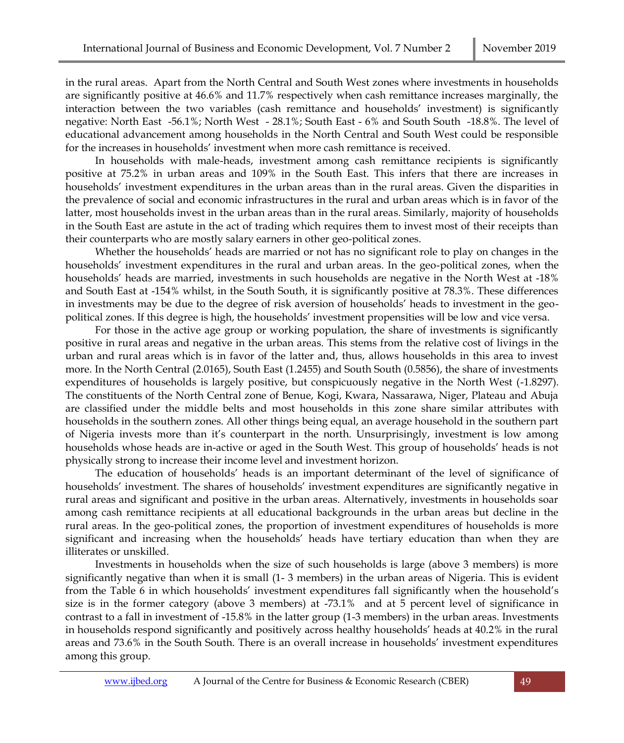in the rural areas. Apart from the North Central and South West zones where investments in households are significantly positive at 46.6% and 11.7% respectively when cash remittance increases marginally, the interaction between the two variables (cash remittance and households' investment) is significantly negative: North East -56.1%; North West - 28.1%; South East - 6% and South South -18.8%. The level of educational advancement among households in the North Central and South West could be responsible for the increases in households' investment when more cash remittance is received.

In households with male-heads, investment among cash remittance recipients is significantly positive at 75.2% in urban areas and 109% in the South East. This infers that there are increases in households' investment expenditures in the urban areas than in the rural areas. Given the disparities in the prevalence of social and economic infrastructures in the rural and urban areas which is in favor of the latter, most households invest in the urban areas than in the rural areas. Similarly, majority of households in the South East are astute in the act of trading which requires them to invest most of their receipts than their counterparts who are mostly salary earners in other geo-political zones.

Whether the households' heads are married or not has no significant role to play on changes in the households' investment expenditures in the rural and urban areas. In the geo-political zones, when the households' heads are married, investments in such households are negative in the North West at -18% and South East at -154% whilst, in the South South, it is significantly positive at 78.3%. These differences in investments may be due to the degree of risk aversion of households' heads to investment in the geopolitical zones. If this degree is high, the households' investment propensities will be low and vice versa.

For those in the active age group or working population, the share of investments is significantly positive in rural areas and negative in the urban areas. This stems from the relative cost of livings in the urban and rural areas which is in favor of the latter and, thus, allows households in this area to invest more. In the North Central (2.0165), South East (1.2455) and South South (0.5856), the share of investments expenditures of households is largely positive, but conspicuously negative in the North West (-1.8297). The constituents of the North Central zone of Benue, Kogi, Kwara, Nassarawa, Niger, Plateau and Abuja are classified under the middle belts and most households in this zone share similar attributes with households in the southern zones. All other things being equal, an average household in the southern part of Nigeria invests more than it's counterpart in the north. Unsurprisingly, investment is low among households whose heads are in-active or aged in the South West. This group of households' heads is not physically strong to increase their income level and investment horizon.

The education of households' heads is an important determinant of the level of significance of households' investment. The shares of households' investment expenditures are significantly negative in rural areas and significant and positive in the urban areas. Alternatively, investments in households soar among cash remittance recipients at all educational backgrounds in the urban areas but decline in the rural areas. In the geo-political zones, the proportion of investment expenditures of households is more significant and increasing when the households' heads have tertiary education than when they are illiterates or unskilled.

Investments in households when the size of such households is large (above 3 members) is more significantly negative than when it is small (1- 3 members) in the urban areas of Nigeria. This is evident from the Table 6 in which households' investment expenditures fall significantly when the household's size is in the former category (above 3 members) at -73.1% and at 5 percent level of significance in contrast to a fall in investment of -15.8% in the latter group (1-3 members) in the urban areas. Investments in households respond significantly and positively across healthy households' heads at 40.2% in the rural areas and 73.6% in the South South. There is an overall increase in households' investment expenditures among this group.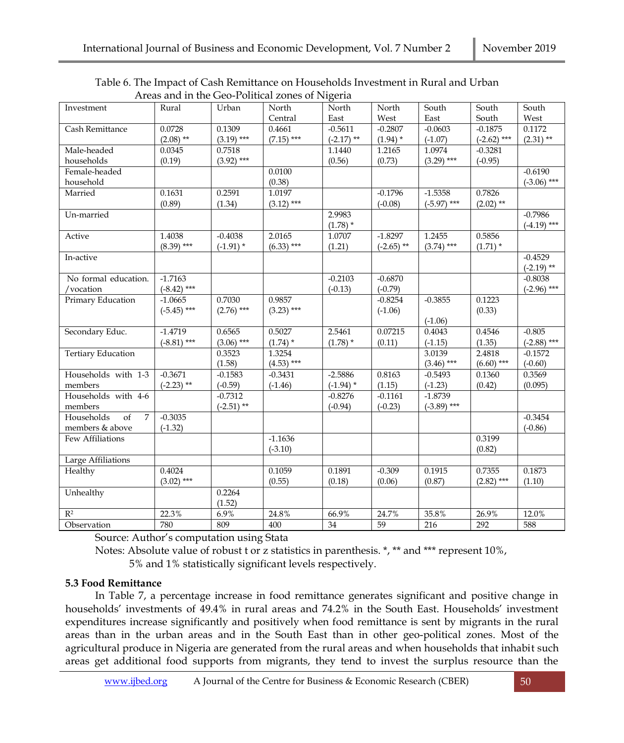| Investment                         | Rural         | Urban        | North        | North        | North        | South         | South         | South         |
|------------------------------------|---------------|--------------|--------------|--------------|--------------|---------------|---------------|---------------|
|                                    |               |              | Central      | East         | West         | East          | South         | West          |
| Cash Remittance                    | 0.0728        | 0.1309       | 0.4661       | $-0.5611$    | $-0.2807$    | $-0.0603$     | $-0.1875$     | 0.1172        |
|                                    | $(2.08)$ **   | $(3.19)$ *** | $(7.15)$ *** | $(-2.17)$ ** | $(1.94)$ *   | $(-1.07)$     | $(-2.62)$ *** | $(2.31)$ **   |
| Male-headed                        | 0.0345        | 0.7518       |              | 1.1440       | 1.2165       | 1.0974        | $-0.3281$     |               |
| households                         | (0.19)        | $(3.92)$ *** |              | (0.56)       | (0.73)       | $(3.29)$ ***  | $(-0.95)$     |               |
| Female-headed                      |               |              | 0.0100       |              |              |               |               | $-0.6190$     |
| household                          |               |              | (0.38)       |              |              |               |               | $(-3.06)$ *** |
| Married                            | 0.1631        | 0.2591       | 1.0197       |              | $-0.1796$    | $-1.5358$     | 0.7826        |               |
|                                    | (0.89)        | (1.34)       | $(3.12)$ *** |              | $(-0.08)$    | $(-5.97)$ *** | $(2.02)$ **   |               |
| Un-married                         |               |              |              | 2.9983       |              |               |               | $-0.7986$     |
|                                    |               |              |              | $(1.78)$ *   |              |               |               | $(-4.19)$ *** |
| Active                             | 1.4038        | $-0.4038$    | 2.0165       | 1.0707       | $-1.8297$    | 1.2455        | 0.5856        |               |
|                                    | $(8.39)$ ***  | $(-1.91)$ *  | $(6.33)$ *** | (1.21)       | $(-2.65)$ ** | $(3.74)$ ***  | $(1.71)$ *    |               |
| In-active                          |               |              |              |              |              |               |               | $-0.4529$     |
|                                    |               |              |              |              |              |               |               | $(-2.19)$ **  |
| No formal education.               | $-1,7163$     |              |              | $-0.2103$    | $-0.6870$    |               |               | $-0.8038$     |
| /vocation                          | $(-8.42)$ *** |              |              | $(-0.13)$    | $(-0.79)$    |               |               | $(-2.96)$ *** |
| Primary Education                  | $-1.0665$     | 0.7030       | 0.9857       |              | $-0.8254$    | $-0.3855$     | 0.1223        |               |
|                                    | $(-5.45)$ *** | $(2.76)$ *** | $(3.23)$ *** |              | $(-1.06)$    |               | (0.33)        |               |
|                                    |               |              |              |              |              | $(-1.06)$     |               |               |
| Secondary Educ.                    | $-1.4719$     | 0.6565       | 0.5027       | 2.5461       | 0.07215      | 0.4043        | 0.4546        | $-0.805$      |
|                                    | $(-8.81)$ *** | $(3.06)$ *** | $(1.74)$ *   | $(1.78)$ *   | (0.11)       | $(-1.15)$     | (1.35)        | $(-2.88)$ *** |
| <b>Tertiary Education</b>          |               | 0.3523       | 1.3254       |              |              | 3.0139        | 2.4818        | $-0.1572$     |
|                                    |               | (1.58)       | $(4.53)$ *** |              |              | $(3.46)$ ***  | $(6.60)$ ***  | $(-0.60)$     |
| Households with 1-3                | $-0.3671$     | $-0.1583$    | $-0.3431$    | $-2.5886$    | 0.8163       | $-0.5493$     | 0.1360        | 0.3569        |
| members                            | $(-2.23)$ **  | $(-0.59)$    | $(-1.46)$    | $(-1.94)$ *  | (1.15)       | $(-1.23)$     | (0.42)        | (0.095)       |
| Households with 4-6                |               | $-0.7312$    |              | $-0.8276$    | $-0.1161$    | $-1.8739$     |               |               |
| members                            |               | $(-2.51)$ ** |              | $(-0.94)$    | $(-0.23)$    | $(-3.89)$ *** |               |               |
| Households<br>of<br>$\overline{7}$ | $-0.3035$     |              |              |              |              |               |               | $-0.3454$     |
| members & above                    | $(-1.32)$     |              |              |              |              |               |               | $(-0.86)$     |
| Few Affiliations                   |               |              | $-1.1636$    |              |              |               | 0.3199        |               |
|                                    |               |              | $(-3.10)$    |              |              |               | (0.82)        |               |
| Large Affiliations                 |               |              |              |              |              |               |               |               |
| Healthy                            | 0.4024        |              | 0.1059       | 0.1891       | $-0.309$     | 0.1915        | 0.7355        | 0.1873        |
|                                    | $(3.02)$ ***  |              | (0.55)       | (0.18)       | (0.06)       | (0.87)        | $(2.82)$ ***  | (1.10)        |
| Unhealthy                          |               | 0.2264       |              |              |              |               |               |               |
|                                    |               | (1.52)       |              |              |              |               |               |               |
| $\mathbb{R}^2$                     | 22.3%         | 6.9%         | 24.8%        | 66.9%        | 24.7%        | 35.8%         | 26.9%         | 12.0%         |
| Observation                        | 780           | 809          | 400          | 34           | 59           | 216           | 292           | 588           |

Table 6. The Impact of Cash Remittance on Households Investment in Rural and Urban Areas and in the Geo-Political zones of Nigeria

Source: Author's computation using Stata

Notes: Absolute value of robust t or z statistics in parenthesis. \*, \*\* and \*\*\* represent 10%,

5% and 1% statistically significant levels respectively.

## **5.3 Food Remittance**

In Table 7, a percentage increase in food remittance generates significant and positive change in households' investments of 49.4% in rural areas and 74.2% in the South East. Households' investment expenditures increase significantly and positively when food remittance is sent by migrants in the rural areas than in the urban areas and in the South East than in other geo-political zones. Most of the agricultural produce in Nigeria are generated from the rural areas and when households that inhabit such areas get additional food supports from migrants, they tend to invest the surplus resource than the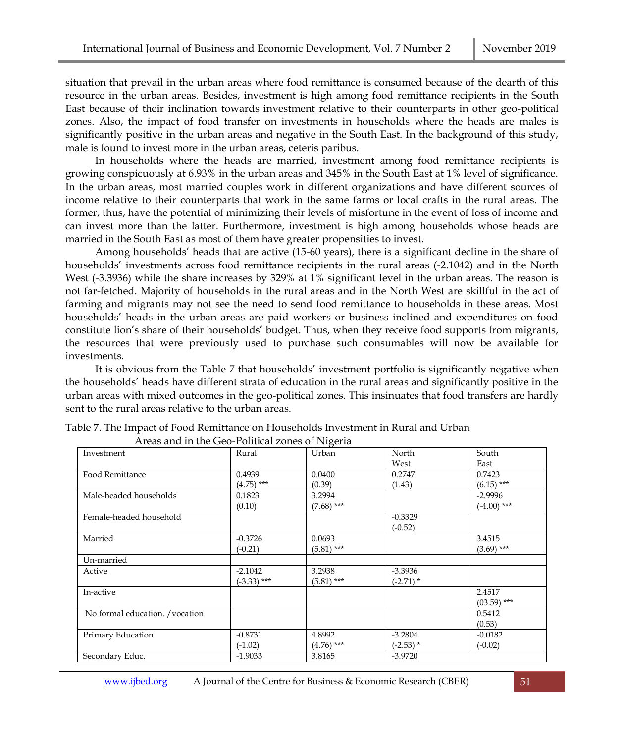situation that prevail in the urban areas where food remittance is consumed because of the dearth of this resource in the urban areas. Besides, investment is high among food remittance recipients in the South East because of their inclination towards investment relative to their counterparts in other geo-political zones. Also, the impact of food transfer on investments in households where the heads are males is significantly positive in the urban areas and negative in the South East. In the background of this study, male is found to invest more in the urban areas, ceteris paribus.

In households where the heads are married, investment among food remittance recipients is growing conspicuously at 6.93% in the urban areas and 345% in the South East at 1% level of significance. In the urban areas, most married couples work in different organizations and have different sources of income relative to their counterparts that work in the same farms or local crafts in the rural areas. The former, thus, have the potential of minimizing their levels of misfortune in the event of loss of income and can invest more than the latter. Furthermore, investment is high among households whose heads are married in the South East as most of them have greater propensities to invest.

Among households' heads that are active (15-60 years), there is a significant decline in the share of households' investments across food remittance recipients in the rural areas (-2.1042) and in the North West (-3.3936) while the share increases by 329% at 1% significant level in the urban areas. The reason is not far-fetched. Majority of households in the rural areas and in the North West are skillful in the act of farming and migrants may not see the need to send food remittance to households in these areas. Most households' heads in the urban areas are paid workers or business inclined and expenditures on food constitute lion's share of their households' budget. Thus, when they receive food supports from migrants, the resources that were previously used to purchase such consumables will now be available for investments.

It is obvious from the Table 7 that households' investment portfolio is significantly negative when the households' heads have different strata of education in the rural areas and significantly positive in the urban areas with mixed outcomes in the geo-political zones. This insinuates that food transfers are hardly sent to the rural areas relative to the urban areas.

| Investment                      | Rural         | Urban        | North       | South         |
|---------------------------------|---------------|--------------|-------------|---------------|
|                                 |               |              | West        | East          |
| Food Remittance                 | 0.4939        | 0.0400       | 0.2747      | 0.7423        |
|                                 | $(4.75)$ ***  | (0.39)       | (1.43)      | $(6.15)$ ***  |
| Male-headed households          | 0.1823        | 3.2994       |             | $-2.9996$     |
|                                 | (0.10)        | $(7.68)$ *** |             | $(-4.00)$ *** |
| Female-headed household         |               |              | $-0.3329$   |               |
|                                 |               |              | $(-0.52)$   |               |
| Married                         | $-0.3726$     | 0.0693       |             | 3.4515        |
|                                 | $(-0.21)$     | $(5.81)$ *** |             | $(3.69)$ ***  |
| Un-married                      |               |              |             |               |
| Active                          | $-2.1042$     | 3.2938       | $-3.3936$   |               |
|                                 | $(-3.33)$ *** | $(5.81)$ *** | $(-2.71)$ * |               |
| In-active                       |               |              |             | 2.4517        |
|                                 |               |              |             | $(03.59)$ *** |
| No formal education. / vocation |               |              |             | 0.5412        |
|                                 |               |              |             | (0.53)        |
| Primary Education               | $-0.8731$     | 4.8992       | $-3.2804$   | $-0.0182$     |
|                                 | $(-1.02)$     | $(4.76)$ *** | $(-2.53)$ * | $(-0.02)$     |
| Secondary Educ.                 | $-1.9033$     | 3.8165       | $-3.9720$   |               |

Table 7. The Impact of Food Remittance on Households Investment in Rural and Urban Areas and in the Geo-Political zones of Nigeria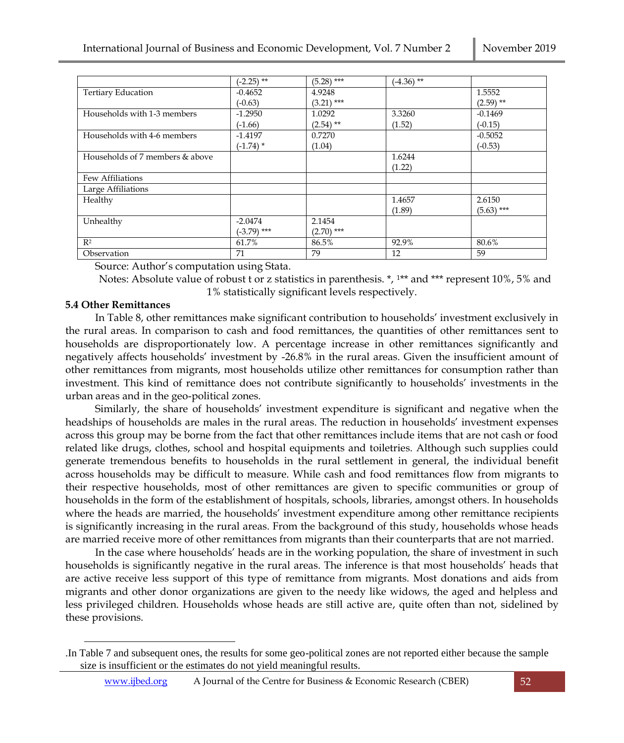|                                 | $(-2.25)$ **  | $(5.28)$ *** | $(-4.36)$ ** |              |
|---------------------------------|---------------|--------------|--------------|--------------|
| <b>Tertiary Education</b>       | $-0.4652$     | 4.9248       |              | 1.5552       |
|                                 | $(-0.63)$     | $(3.21)$ *** |              | $(2.59)$ **  |
| Households with 1-3 members     | $-1.2950$     | 1.0292       | 3.3260       | $-0.1469$    |
|                                 | $(-1.66)$     | $(2.54)$ **  | (1.52)       | $(-0.15)$    |
| Households with 4-6 members     | $-1.4197$     | 0.7270       |              | $-0.5052$    |
|                                 | $(-1.74)$ *   | (1.04)       |              | $(-0.53)$    |
| Households of 7 members & above |               |              | 1.6244       |              |
|                                 |               |              | (1.22)       |              |
| Few Affiliations                |               |              |              |              |
| Large Affiliations              |               |              |              |              |
| Healthy                         |               |              | 1.4657       | 2.6150       |
|                                 |               |              | (1.89)       | $(5.63)$ *** |
| Unhealthy                       | $-2.0474$     | 2.1454       |              |              |
|                                 | $(-3.79)$ *** | $(2.70)$ *** |              |              |
| $R^2$                           | 61.7%         | 86.5%        | 92.9%        | 80.6%        |
| Observation                     | 71            | 79           | 12           | 59           |

Source: Author's computation using Stata.

 Notes: Absolute value of robust t or z statistics in parenthesis. \*, 1\*\* and \*\*\* represent 10%, 5% and 1% statistically significant levels respectively.

#### **5.4 Other Remittances**

In Table 8, other remittances make significant contribution to households' investment exclusively in the rural areas. In comparison to cash and food remittances, the quantities of other remittances sent to households are disproportionately low. A percentage increase in other remittances significantly and negatively affects households' investment by -26.8% in the rural areas. Given the insufficient amount of other remittances from migrants, most households utilize other remittances for consumption rather than investment. This kind of remittance does not contribute significantly to households' investments in the urban areas and in the geo-political zones.

Similarly, the share of households' investment expenditure is significant and negative when the headships of households are males in the rural areas. The reduction in households' investment expenses across this group may be borne from the fact that other remittances include items that are not cash or food related like drugs, clothes, school and hospital equipments and toiletries. Although such supplies could generate tremendous benefits to households in the rural settlement in general, the individual benefit across households may be difficult to measure. While cash and food remittances flow from migrants to their respective households, most of other remittances are given to specific communities or group of households in the form of the establishment of hospitals, schools, libraries, amongst others. In households where the heads are married, the households' investment expenditure among other remittance recipients is significantly increasing in the rural areas. From the background of this study, households whose heads are married receive more of other remittances from migrants than their counterparts that are not married.

In the case where households' heads are in the working population, the share of investment in such households is significantly negative in the rural areas. The inference is that most households' heads that are active receive less support of this type of remittance from migrants. Most donations and aids from migrants and other donor organizations are given to the needy like widows, the aged and helpless and less privileged children. Households whose heads are still active are, quite often than not, sidelined by these provisions.

<sup>.</sup>In Table 7 and subsequent ones, the results for some geo-political zones are not reported either because the sample size is insufficient or the estimates do not yield meaningful results.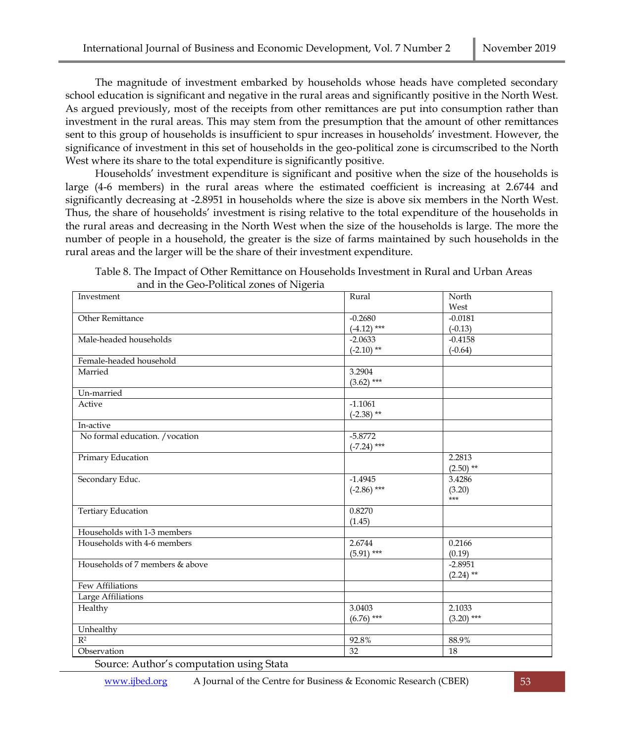The magnitude of investment embarked by households whose heads have completed secondary school education is significant and negative in the rural areas and significantly positive in the North West. As argued previously, most of the receipts from other remittances are put into consumption rather than investment in the rural areas. This may stem from the presumption that the amount of other remittances sent to this group of households is insufficient to spur increases in households' investment. However, the significance of investment in this set of households in the geo-political zone is circumscribed to the North West where its share to the total expenditure is significantly positive.

Households' investment expenditure is significant and positive when the size of the households is large (4-6 members) in the rural areas where the estimated coefficient is increasing at 2.6744 and significantly decreasing at -2.8951 in households where the size is above six members in the North West. Thus, the share of households' investment is rising relative to the total expenditure of the households in the rural areas and decreasing in the North West when the size of the households is large. The more the number of people in a household, the greater is the size of farms maintained by such households in the rural areas and the larger will be the share of their investment expenditure.

| Table 8. The Impact of Other Remittance on Households Investment in Rural and Urban Areas |  |
|-------------------------------------------------------------------------------------------|--|
| and in the Geo-Political zones of Nigeria                                                 |  |

| Investment                      | Rural         | North        |
|---------------------------------|---------------|--------------|
|                                 |               | West         |
| <b>Other Remittance</b>         | $-0.2680$     | $-0.0181$    |
|                                 | $(-4.12)$ *** | $(-0.13)$    |
| Male-headed households          | $-2.0633$     | $-0.4158$    |
|                                 | $(-2.10)$ **  | $(-0.64)$    |
| Female-headed household         |               |              |
| Married                         | 3.2904        |              |
|                                 | $(3.62)$ ***  |              |
| Un-married                      |               |              |
| Active                          | $-1.1061$     |              |
|                                 | $(-2.38)$ **  |              |
| In-active                       |               |              |
| No formal education. / vocation | $-5.8772$     |              |
|                                 | $(-7.24)$ *** |              |
| Primary Education               |               | 2.2813       |
|                                 |               | $(2.50)$ **  |
| Secondary Educ.                 | $-1.4945$     | 3.4286       |
|                                 | $(-2.86)$ *** | (3.20)       |
|                                 |               | $***$        |
| <b>Tertiary Education</b>       | 0.8270        |              |
|                                 | (1.45)        |              |
| Households with 1-3 members     |               |              |
| Households with 4-6 members     | 2.6744        | 0.2166       |
|                                 | $(5.91)$ ***  | (0.19)       |
| Households of 7 members & above |               | $-2.8951$    |
|                                 |               | $(2.24)$ **  |
| Few Affiliations                |               |              |
| Large Affiliations              |               |              |
| Healthy                         | 3.0403        | 2.1033       |
|                                 | $(6.76)$ ***  | $(3.20)$ *** |
| Unhealthy                       |               |              |
| $\overline{\mathbb{R}^2}$       | 92.8%         | 88.9%        |
| Observation                     | 32            | 18           |
|                                 |               |              |

Source: Author's computation using Stata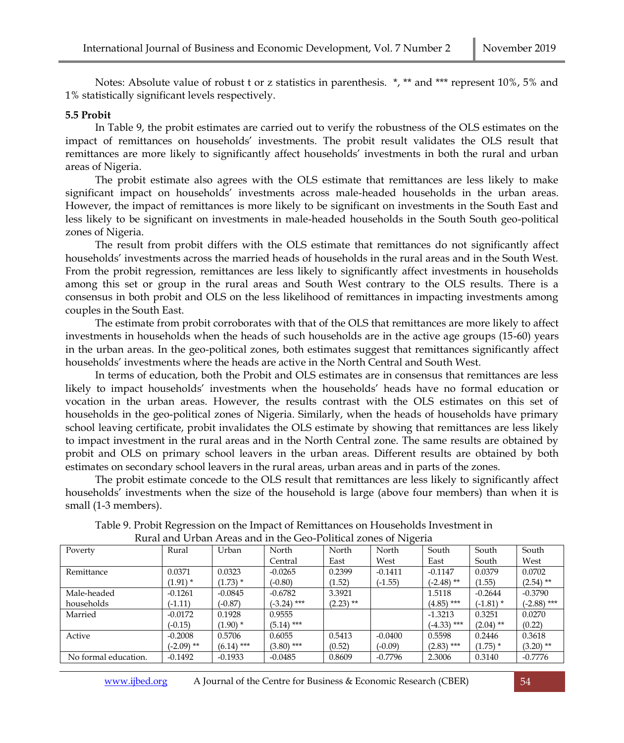Notes: Absolute value of robust t or z statistics in parenthesis. \*, \*\* and \*\*\* represent 10%, 5% and 1% statistically significant levels respectively.

### **5.5 Probit**

In Table 9, the probit estimates are carried out to verify the robustness of the OLS estimates on the impact of remittances on households' investments. The probit result validates the OLS result that remittances are more likely to significantly affect households' investments in both the rural and urban areas of Nigeria.

The probit estimate also agrees with the OLS estimate that remittances are less likely to make significant impact on households' investments across male-headed households in the urban areas. However, the impact of remittances is more likely to be significant on investments in the South East and less likely to be significant on investments in male-headed households in the South South geo-political zones of Nigeria.

The result from probit differs with the OLS estimate that remittances do not significantly affect households' investments across the married heads of households in the rural areas and in the South West. From the probit regression, remittances are less likely to significantly affect investments in households among this set or group in the rural areas and South West contrary to the OLS results. There is a consensus in both probit and OLS on the less likelihood of remittances in impacting investments among couples in the South East.

The estimate from probit corroborates with that of the OLS that remittances are more likely to affect investments in households when the heads of such households are in the active age groups (15-60) years in the urban areas. In the geo-political zones, both estimates suggest that remittances significantly affect households' investments where the heads are active in the North Central and South West.

In terms of education, both the Probit and OLS estimates are in consensus that remittances are less likely to impact households' investments when the households' heads have no formal education or vocation in the urban areas. However, the results contrast with the OLS estimates on this set of households in the geo-political zones of Nigeria. Similarly, when the heads of households have primary school leaving certificate, probit invalidates the OLS estimate by showing that remittances are less likely to impact investment in the rural areas and in the North Central zone. The same results are obtained by probit and OLS on primary school leavers in the urban areas. Different results are obtained by both estimates on secondary school leavers in the rural areas, urban areas and in parts of the zones.

The probit estimate concede to the OLS result that remittances are less likely to significantly affect households' investments when the size of the household is large (above four members) than when it is small (1-3 members).

| Kulai anu Orban Aleas anu in the Geo-I bilittai zones of Ivigeria |              |              |               |             |           |               |             |               |  |
|-------------------------------------------------------------------|--------------|--------------|---------------|-------------|-----------|---------------|-------------|---------------|--|
| Poverty                                                           | Rural        | Urban        | North         | North       | North     | South         | South       | South         |  |
|                                                                   |              |              | Central       | East        | West      | East          | South       | West          |  |
| Remittance                                                        | 0.0371       | 0.0323       | $-0.0265$     | 0.2399      | $-0.1411$ | $-0.1147$     | 0.0379      | 0.0702        |  |
|                                                                   | $(1.91)$ *   | $(1.73)$ *   | $(-0.80)$     | (1.52)      | $(-1.55)$ | $(-2.48)$ **  | (1.55)      | $(2.54)$ **   |  |
| Male-headed                                                       | $-0.1261$    | $-0.0845$    | $-0.6782$     | 3.3921      |           | 1.5118        | $-0.2644$   | $-0.3790$     |  |
| households                                                        | $(-1.11)$    | $(-0.87)$    | $(-3.24)$ *** | $(2.23)$ ** |           | $(4.85)$ ***  | $(-1.81)$ * | $(-2.88)$ *** |  |
| Married                                                           | $-0.0172$    | 0.1928       | 0.9555        |             |           | $-1.3213$     | 0.3251      | 0.0270        |  |
|                                                                   | $(-0.15)$    | $(1.90)$ *   | $(5.14)$ ***  |             |           | $(-4.33)$ *** | $(2.04)$ ** | (0.22)        |  |
| Active                                                            | $-0.2008$    | 0.5706       | 0.6055        | 0.5413      | $-0.0400$ | 0.5598        | 0.2446      | 0.3618        |  |
|                                                                   | $(-2.09)$ ** | $(6.14)$ *** | $(3.80)$ ***  | (0.52)      | $(-0.09)$ | $(2.83)$ ***  | $(1.75)$ *  | $(3.20)$ **   |  |
| No formal education.                                              | $-0.1492$    | $-0.1933$    | $-0.0485$     | 0.8609      | $-0.7796$ | 2.3006        | 0.3140      | $-0.7776$     |  |

Table 9. Probit Regression on the Impact of Remittances on Households Investment in Rural and Urban Areas and in the Geo-Political zones of Nigeria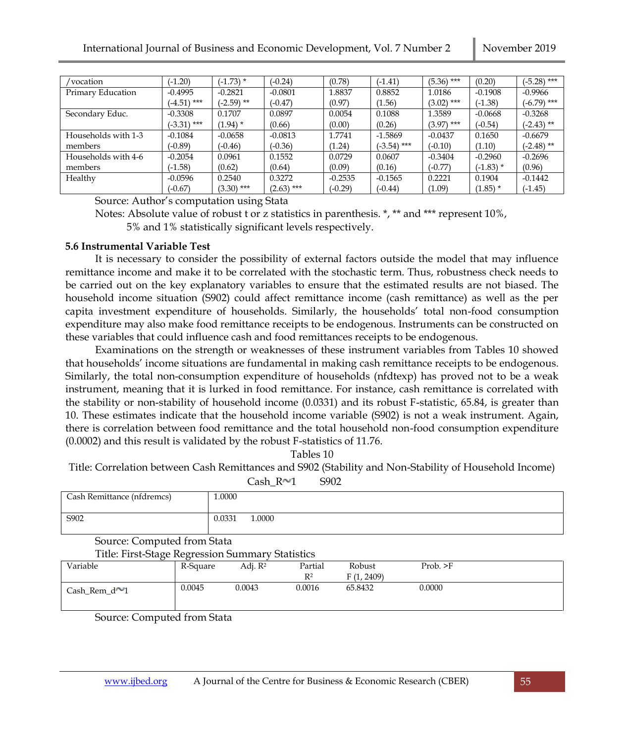| 'vocation           | $(-1.20)$     | $(-1.73)$ *  | $(-0.24)$    | (0.78)    | $(-1.41)$     | $(5.36)$ *** | (0.20)      | $(-5.28)$ *** |
|---------------------|---------------|--------------|--------------|-----------|---------------|--------------|-------------|---------------|
| Primary Education   | $-0.4995$     | $-0.2821$    | $-0.0801$    | 1.8837    | 0.8852        | 1.0186       | $-0.1908$   | $-0.9966$     |
|                     | $(-4.51)$ *** | $(-2.59)$ ** | $(-0.47)$    | (0.97)    | (1.56)        | $(3.02)$ *** | $(-1.38)$   | $(-6.79)$ *** |
| Secondary Educ.     | $-0.3308$     | 0.1707       | 0.0897       | 0.0054    | 0.1088        | 1.3589       | $-0.0668$   | $-0.3268$     |
|                     | $(-3.31)$ *** | $(1.94)$ *   | (0.66)       | (0.00)    | (0.26)        | $(3.97)$ *** | $(-0.54)$   | $(-2.43)$ **  |
| Households with 1-3 | $-0.1084$     | $-0.0658$    | $-0.0813$    | 1.7741    | $-1.5869$     | $-0.0437$    | 0.1650      | $-0.6679$     |
| members             | $(-0.89)$     | $(-0.46)$    | $(-0.36)$    | (1.24)    | $(-3.54)$ *** | $(-0.10)$    | (1.10)      | $(-2.48)$ **  |
| Households with 4-6 | $-0.2054$     | 0.0961       | 0.1552       | 0.0729    | 0.0607        | $-0.3404$    | $-0.2960$   | $-0.2696$     |
| members             | $(-1.58)$     | (0.62)       | (0.64)       | (0.09)    | (0.16)        | $(-0.77)$    | $(-1.83)$ * | (0.96)        |
| Healthy             | $-0.0596$     | 0.2540       | 0.3272       | $-0.2535$ | $-0.1565$     | 0.2221       | 0.1904      | $-0.1442$     |
|                     | $(-0.67)$     | $(3.30)$ *** | $(2.63)$ *** | $(-0.29)$ | $(-0.44)$     | (1.09)       | $(1.85)$ *  | $(-1.45)$     |

Source: Author's computation using Stata

Notes: Absolute value of robust t or z statistics in parenthesis. \*, \*\* and \*\*\* represent 10%, 5% and 1% statistically significant levels respectively.

## **5.6 Instrumental Variable Test**

It is necessary to consider the possibility of external factors outside the model that may influence remittance income and make it to be correlated with the stochastic term. Thus, robustness check needs to be carried out on the key explanatory variables to ensure that the estimated results are not biased. The household income situation (S902) could affect remittance income (cash remittance) as well as the per capita investment expenditure of households. Similarly, the households' total non-food consumption expenditure may also make food remittance receipts to be endogenous. Instruments can be constructed on these variables that could influence cash and food remittances receipts to be endogenous.

Examinations on the strength or weaknesses of these instrument variables from Tables 10 showed that households' income situations are fundamental in making cash remittance receipts to be endogenous. Similarly, the total non-consumption expenditure of households (nfdtexp) has proved not to be a weak instrument, meaning that it is lurked in food remittance. For instance, cash remittance is correlated with the stability or non-stability of household income (0.0331) and its robust F-statistic, 65.84, is greater than 10. These estimates indicate that the household income variable (S902) is not a weak instrument. Again, there is correlation between food remittance and the total household non-food consumption expenditure (0.0002) and this result is validated by the robust F-statistics of 11.76.

Tables 10

Title: Correlation between Cash Remittances and S902 (Stability and Non-Stability of Household Income)

Cash  $R \sim 1$  S902

| Cash Remittance (nfdremcs)                       |          | 1.0000           |                |            |           |  |
|--------------------------------------------------|----------|------------------|----------------|------------|-----------|--|
| S902                                             |          | 0.0331<br>1.0000 |                |            |           |  |
| Source: Computed from Stata                      |          |                  |                |            |           |  |
| Title: First-Stage Regression Summary Statistics |          |                  |                |            |           |  |
| Variable                                         | R-Square | Adj. $R^2$       | Partial        | Robust     | Prob. > F |  |
|                                                  |          |                  | R <sup>2</sup> | F(1, 2409) |           |  |
| Cash_Rem_d $^{\sim}$ 1                           | 0.0045   | 0.0043           | 0.0016         | 65.8432    | 0.0000    |  |

Source: Computed from Stata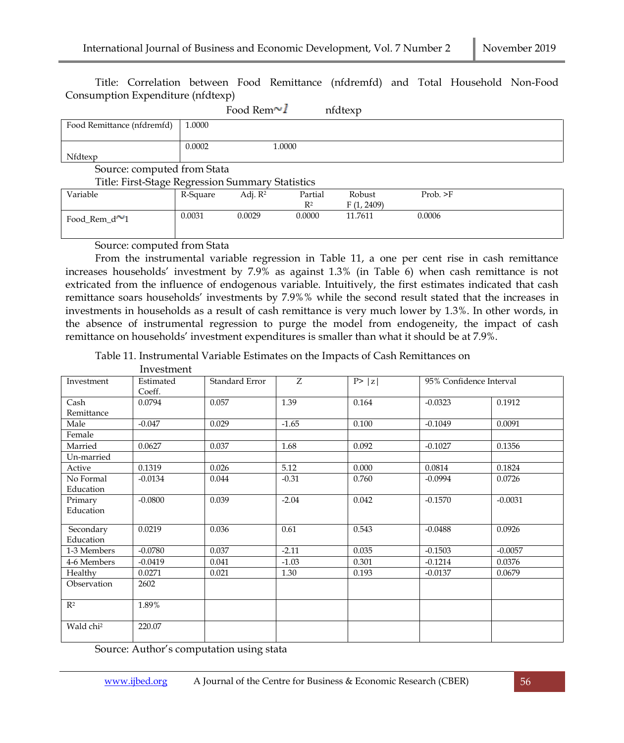Title: Correlation between Food Remittance (nfdremfd) and Total Household Non-Food Consumption Expenditure (nfdtexp)

|                             |        | Food Rem $\sim I$                                | nfdtexp |  |
|-----------------------------|--------|--------------------------------------------------|---------|--|
| Food Remittance (nfdremfd)  | 1.0000 |                                                  |         |  |
|                             |        |                                                  |         |  |
|                             | 0.0002 | 1.0000                                           |         |  |
| Nfdtexp                     |        |                                                  |         |  |
| Source: computed from Stata |        |                                                  |         |  |
|                             |        | Title: First-Stage Regression Summary Statistics |         |  |
|                             |        |                                                  |         |  |

| --------             | ___      |                     | - - - - - - - - |                   |                |
|----------------------|----------|---------------------|-----------------|-------------------|----------------|
| Variable             | R-Square | Adi. R <sup>2</sup> | Partial         | Robust            | Prob. $\geq$ F |
|                      |          |                     | $R^2$           | (1, 2409)<br>г (1 |                |
| Food Rem $d^{\sim}1$ | 0.0031   | 0.0029              | 0.0000          | 11.7611           | 0.0006         |

Source: computed from Stata

From the instrumental variable regression in Table 11, a one per cent rise in cash remittance increases households' investment by 7.9% as against 1.3% (in Table 6) when cash remittance is not extricated from the influence of endogenous variable. Intuitively, the first estimates indicated that cash remittance soars households' investments by 7.9%% while the second result stated that the increases in investments in households as a result of cash remittance is very much lower by 1.3%. In other words, in the absence of instrumental regression to purge the model from endogeneity, the impact of cash remittance on households' investment expenditures is smaller than what it should be at 7.9%.

Table 11. Instrumental Variable Estimates on the Impacts of Cash Remittances on

|                        | Investment          |                |         |        |                         |           |
|------------------------|---------------------|----------------|---------|--------|-------------------------|-----------|
| Investment             | Estimated<br>Coeff. | Standard Error | Z       | P >  z | 95% Confidence Interval |           |
| Cash<br>Remittance     | 0.0794              | 0.057          | 1.39    | 0.164  | $-0.0323$               | 0.1912    |
| Male                   | $-0.047$            | 0.029          | $-1.65$ | 0.100  | $-0.1049$               | 0.0091    |
| Female                 |                     |                |         |        |                         |           |
| Married                | 0.0627              | 0.037          | 1.68    | 0.092  | $-0.1027$               | 0.1356    |
| Un-married             |                     |                |         |        |                         |           |
| Active                 | 0.1319              | 0.026          | 5.12    | 0.000  | 0.0814                  | 0.1824    |
| No Formal<br>Education | $-0.0134$           | 0.044          | $-0.31$ | 0.760  | $-0.0994$               | 0.0726    |
| Primary<br>Education   | $-0.0800$           | 0.039          | $-2.04$ | 0.042  | $-0.1570$               | $-0.0031$ |
| Secondary<br>Education | 0.0219              | 0.036          | 0.61    | 0.543  | $-0.0488$               | 0.0926    |
| 1-3 Members            | $-0.0780$           | 0.037          | $-2.11$ | 0.035  | $-0.1503$               | $-0.0057$ |
| 4-6 Members            | $-0.0419$           | 0.041          | $-1.03$ | 0.301  | $-0.1214$               | 0.0376    |
| Healthy                | 0.0271              | 0.021          | 1.30    | 0.193  | $-0.0137$               | 0.0679    |
| Observation            | 2602                |                |         |        |                         |           |
| $R^2$                  | 1.89%               |                |         |        |                         |           |
| Wald chi <sup>2</sup>  | 220.07              |                |         |        |                         |           |

Source: Author's computation using stata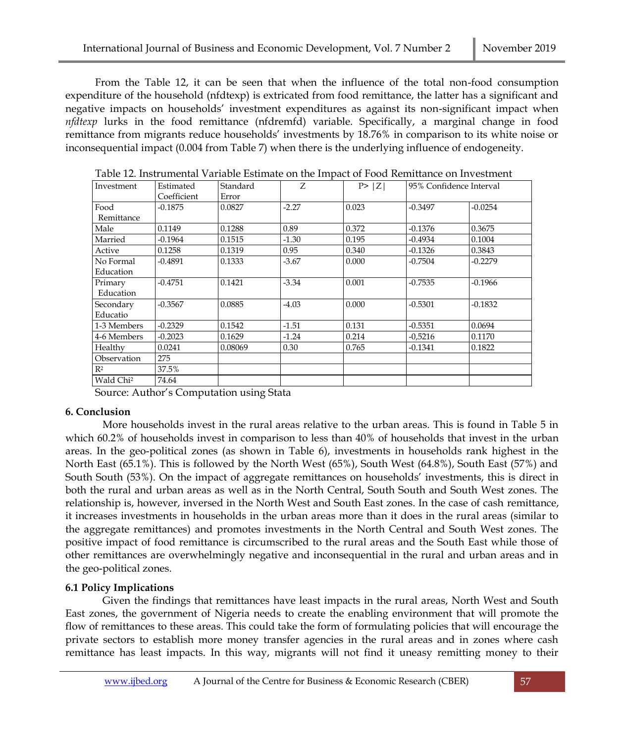From the Table 12, it can be seen that when the influence of the total non-food consumption expenditure of the household (nfdtexp) is extricated from food remittance, the latter has a significant and negative impacts on households' investment expenditures as against its non-significant impact when *nfdtexp* lurks in the food remittance (nfdremfd) variable. Specifically, a marginal change in food remittance from migrants reduce households' investments by 18.76% in comparison to its white noise or inconsequential impact (0.004 from Table 7) when there is the underlying influence of endogeneity.

| Investment            | Estimated   | Standard | Z.      | P >  Z | 95% Confidence Interval |           |  |
|-----------------------|-------------|----------|---------|--------|-------------------------|-----------|--|
|                       | Coefficient | Error    |         |        |                         |           |  |
| Food                  | $-0.1875$   | 0.0827   | $-2.27$ | 0.023  | $-0.3497$               | $-0.0254$ |  |
| Remittance            |             |          |         |        |                         |           |  |
| Male                  | 0.1149      | 0.1288   | 0.89    | 0.372  | $-0.1376$               | 0.3675    |  |
| Married               | $-0.1964$   | 0.1515   | $-1.30$ | 0.195  | $-0.4934$               | 0.1004    |  |
| Active                | 0.1258      | 0.1319   | 0.95    | 0.340  | $-0.1326$               | 0.3843    |  |
| No Formal             | $-0.4891$   | 0.1333   | $-3.67$ | 0.000  | $-0.7504$               | $-0.2279$ |  |
| Education             |             |          |         |        |                         |           |  |
| Primary               | $-0.4751$   | 0.1421   | $-3.34$ | 0.001  | $-0.7535$               | $-0.1966$ |  |
| Education             |             |          |         |        |                         |           |  |
| Secondary             | $-0.3567$   | 0.0885   | $-4.03$ | 0.000  | $-0.5301$               | $-0.1832$ |  |
| Educatio              |             |          |         |        |                         |           |  |
| 1-3 Members           | $-0.2329$   | 0.1542   | $-1.51$ | 0.131  | $-0.5351$               | 0.0694    |  |
| 4-6 Members           | $-0.2023$   | 0.1629   | $-1.24$ | 0.214  | $-0.5216$               | 0.1170    |  |
| Healthy               | 0.0241      | 0.08069  | 0.30    | 0.765  | $-0.1341$               | 0.1822    |  |
| Observation           | 275         |          |         |        |                         |           |  |
| R <sup>2</sup>        | 37.5%       |          |         |        |                         |           |  |
| Wald Chi <sup>2</sup> | 74.64       |          |         |        |                         |           |  |

Table 12. Instrumental Variable Estimate on the Impact of Food Remittance on Investment

Source: Author's Computation using Stata

## **6. Conclusion**

More households invest in the rural areas relative to the urban areas. This is found in Table 5 in which 60.2% of households invest in comparison to less than 40% of households that invest in the urban areas. In the geo-political zones (as shown in Table 6), investments in households rank highest in the North East (65.1%). This is followed by the North West (65%), South West (64.8%), South East (57%) and South South (53%). On the impact of aggregate remittances on households' investments, this is direct in both the rural and urban areas as well as in the North Central, South South and South West zones. The relationship is, however, inversed in the North West and South East zones. In the case of cash remittance, it increases investments in households in the urban areas more than it does in the rural areas (similar to the aggregate remittances) and promotes investments in the North Central and South West zones. The positive impact of food remittance is circumscribed to the rural areas and the South East while those of other remittances are overwhelmingly negative and inconsequential in the rural and urban areas and in the geo-political zones.

# **6.1 Policy Implications**

Given the findings that remittances have least impacts in the rural areas, North West and South East zones, the government of Nigeria needs to create the enabling environment that will promote the flow of remittances to these areas. This could take the form of formulating policies that will encourage the private sectors to establish more money transfer agencies in the rural areas and in zones where cash remittance has least impacts. In this way, migrants will not find it uneasy remitting money to their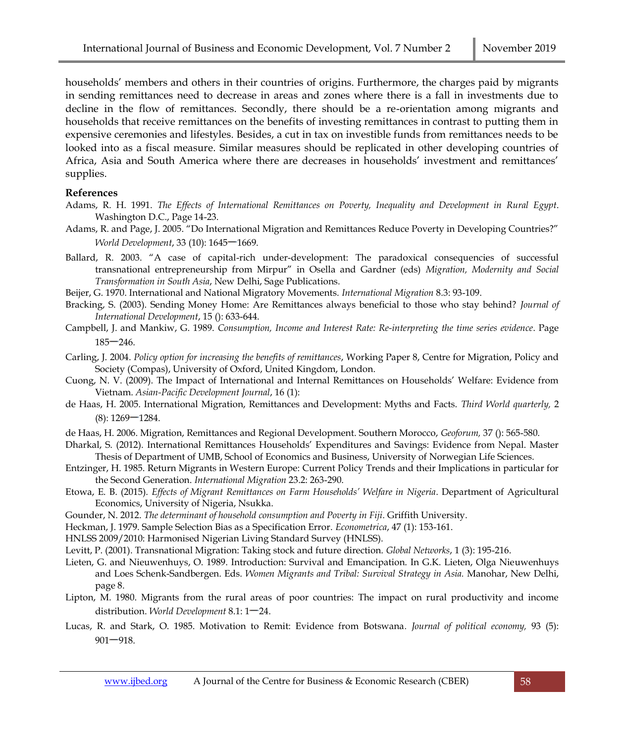households' members and others in their countries of origins. Furthermore, the charges paid by migrants in sending remittances need to decrease in areas and zones where there is a fall in investments due to decline in the flow of remittances. Secondly, there should be a re-orientation among migrants and households that receive remittances on the benefits of investing remittances in contrast to putting them in expensive ceremonies and lifestyles. Besides, a cut in tax on investible funds from remittances needs to be looked into as a fiscal measure. Similar measures should be replicated in other developing countries of Africa, Asia and South America where there are decreases in households' investment and remittances' supplies.

#### **References**

- Adams, R. H. 1991. *The Effects of International Remittances on Poverty, Inequality and Development in Rural Egypt*. Washington D.C., Page 14-23.
- Adams, R. and Page, J. 2005. "Do International Migration and Remittances Reduce Poverty in Developing Countries?" *World Development*, 33 (10): 1645<sup>-1669</sup>.
- Ballard, R. 2003. "A case of capital-rich under-development: The paradoxical consequencies of successful transnational entrepreneurship from Mirpur" in Osella and Gardner (eds) *Migration, Modernity and Social Transformation in South Asia*, New Delhi, Sage Publications.
- Beijer, G. 1970. International and National Migratory Movements. *International Migration* 8.3: 93-109.
- Bracking, S. (2003). Sending Money Home: Are Remittances always beneficial to those who stay behind? *Journal of International Development*, 15 (): 633-644.
- Campbell, J. and Mankiw, G. 1989. *Consumption, Income and Interest Rate: Re-interpreting the time series evidence*. Page  $185 - 246$ .
- Carling, J. 2004. *Policy option for increasing the benefits of remittances*, Working Paper 8, Centre for Migration, Policy and Society (Compas), University of Oxford, United Kingdom, London.
- Cuong, N. V. (2009). The Impact of International and Internal Remittances on Households' Welfare: Evidence from Vietnam. *Asian-Pacific Development Journal*, 16 (1):
- de Haas, H. 2005. International Migration, Remittances and Development: Myths and Facts. *Third World quarterly,* 2  $(8)$ : 1269 – 1284.
- de Haas, H. 2006. Migration, Remittances and Regional Development. Southern Morocco, *Geoforum,* 37 (): 565-580.
- Dharkal, S. (2012). International Remittances Households' Expenditures and Savings: Evidence from Nepal. Master Thesis of Department of UMB, School of Economics and Business, University of Norwegian Life Sciences.
- Entzinger, H. 1985. Return Migrants in Western Europe: Current Policy Trends and their Implications in particular for the Second Generation. *International Migration* 23.2: 263-290.
- Etowa, E. B. (2015). *Effects of Migrant Remittances on Farm Households' Welfare in Nigeria*. Department of Agricultural Economics, University of Nigeria, Nsukka.
- Gounder, N. 2012. *The determinant of household consumption and Poverty in Fiji*. Griffith University.
- Heckman, J. 1979. Sample Selection Bias as a Specification Error. *Econometrica*, 47 (1): 153-161.
- HNLSS 2009/2010: Harmonised Nigerian Living Standard Survey (HNLSS).
- Levitt, P. (2001). Transnational Migration: Taking stock and future direction. *Global Networks*, 1 (3): 195-216.
- Lieten, G. and Nieuwenhuys, O. 1989. Introduction: Survival and Emancipation. In G.K. Lieten, Olga Nieuwenhuys and Loes Schenk-Sandbergen. Eds. *Women Migrants and Tribal: Survival Strategy in Asia.* Manohar, New Delhi, page 8.
- Lipton, M. 1980. Migrants from the rural areas of poor countries: The impact on rural productivity and income distribution. *World Development* 8.1:  $1-24$ .
- Lucas, R. and Stark, O. 1985. Motivation to Remit: Evidence from Botswana*. Journal of political economy,* 93 (5):  $901 - 918.$